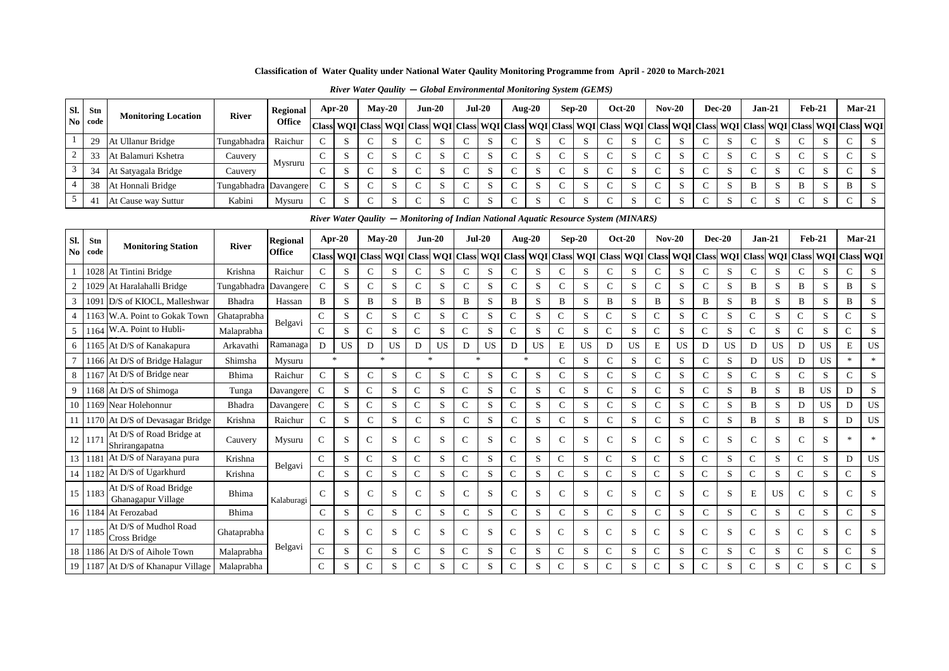|  |  | $River Water Quality - Global Environmental Monitoring System (GEMS)$ |
|--|--|-----------------------------------------------------------------------|
|--|--|-----------------------------------------------------------------------|

| Sl.                    | Stn         | <b>Monitoring Location</b>                  | <b>River</b> | <b>Regional</b>           | Apr-20        |           |                      | $May-20$             | $Jun-20$       |                            |               | $Jul-20$   | Aug-20                                                                               |           |                | $\bf Sep\text{-}20$     |               | <b>Oct-20</b> |               | $Nov-20$   | <b>Dec-20</b> |             |               | $Jan-21$    |              | Feb-21        | $Mar-21$       |           |
|------------------------|-------------|---------------------------------------------|--------------|---------------------------|---------------|-----------|----------------------|----------------------|----------------|----------------------------|---------------|------------|--------------------------------------------------------------------------------------|-----------|----------------|-------------------------|---------------|---------------|---------------|------------|---------------|-------------|---------------|-------------|--------------|---------------|----------------|-----------|
| $\mathbf{N}\mathbf{o}$ | code        |                                             |              | <b>Office</b>             | <b>Class</b>  |           |                      | <b>WOI</b> Class WOI | <b>Class</b>   | <b>WQI</b>                 | <b>Class</b>  | <b>WOI</b> | <b>Class</b>                                                                         |           |                | WQI Class WQI Class WQI |               |               | <b>Class</b>  | <b>WQI</b> | <b>Class</b>  | <b>WOI</b>  | <b>Class</b>  | <b>WOI</b>  | <b>Class</b> | <b>WOI</b>    | Class WQI      |           |
|                        | 29          | At Ullanur Bridge                           | Tungabhadra  | Raichur                   | $\mathbf C$   | S         | $\mathbf C$          | S                    | $\mathsf{C}$   | S                          | $\mathcal{C}$ | S          | $\mathcal{C}$                                                                        | S         | $\mathsf{C}$   | S                       | $\mathcal{C}$ | S             | $\mathcal{C}$ | S          | $\mathcal{C}$ | S           | $\mathcal{C}$ | S           | $\mathsf{C}$ | S             | $\mathbf C$    | S         |
| $\overline{c}$         | 33          | At Balamuri Kshetra                         | Cauvery      |                           | $\mathbf C$   | S         | $\mathsf{C}$         | S                    | C              | S                          | $\mathsf{C}$  | S          | $\mathsf{C}$                                                                         | S         | $\mathsf{C}$   | S                       | $\mathsf{C}$  | S             | $\mathbf C$   | S          | $\mathsf{C}$  | S           | $\mathsf{C}$  | S           | $\mathbf C$  | S             | C              | S         |
| 3                      | 34          | At Satyagala Bridge                         | Cauvery      | Mysruru                   | $\mathbf C$   | S         | $\mathsf{C}$         | S                    | $\mathbf C$    | S                          | $\mathsf{C}$  | S          | $\mathbf C$                                                                          | S         | $\mathsf{C}$   | S                       | $\mathsf{C}$  | S             | $\mathbf C$   | S          | $\mathsf{C}$  | S           | $\mathsf{C}$  | S           | $\mathbf C$  | S             | $\mathbf C$    | ${\bf S}$ |
| 4                      | 38          | At Honnali Bridge                           | Tungabhadra  | Davangere                 | $\mathbf C$   | S         | $\mathbf C$          | S                    | $\mathsf{C}$   | S                          | $\mathsf{C}$  | S          | $\mathsf{C}$                                                                         | S         | $\mathbf C$    | S                       | $\mathcal{C}$ | S             | $\mathbf C$   | S          | $\mathsf{C}$  | S           | B             | S           | $\, {\bf B}$ | S             | $\, {\bf B}$   | S         |
| 5                      | 41          | At Cause way Suttur                         | Kabini       | Mysuru                    | $\mathbf C$   | S         | $\mathbf C$          | S                    | $\mathsf{C}$   | S                          | $\mathbf C$   | S          | $\mathbf C$                                                                          | S         | $\mathsf{C}$   | S                       | $\mathcal{C}$ | S             | $\mathbf C$   | S          | $\mathsf{C}$  | S           | $\mathcal{C}$ | S           | $\mathbf C$  | S             | $\mathsf{C}$   | S         |
|                        |             |                                             |              |                           |               |           |                      |                      |                |                            |               |            | River Water Oaulity – Monitoring of Indian National Aquatic Resource System (MINARS) |           |                |                         |               |               |               |            |               |             |               |             |              |               |                |           |
|                        |             |                                             |              |                           |               | $Apr-20$  |                      | $Mav-20$             | $Jun-20$       |                            | $Jul-20$      |            | <b>Aug-20</b>                                                                        |           |                | $Sep-20$                |               | $Oct-20$      | $Nov-20$      |            | $Dec-20$      |             | $Jan-21$      |             |              | <b>Feb-21</b> | $Mar-21$       |           |
| SI.<br>N <sub>0</sub>  | Stn<br>code | <b>Monitoring Station</b>                   | <b>River</b> | <b>Regional</b><br>Office |               |           |                      |                      |                |                            |               |            |                                                                                      |           |                |                         |               |               |               |            |               |             |               |             |              |               |                |           |
|                        |             |                                             |              |                           | <b>Class</b>  |           | <b>WQI</b> Class WQI |                      | <b>Class</b>   | WQI                        | <b>Class</b>  | <b>WOI</b> | <b>Class</b>                                                                         |           |                | WQI Class WQI Class WQI |               |               | <b>Class</b>  | WQI        | <b>Class</b>  | <b>WOI</b>  | <b>Class</b>  | <b>WOI</b>  | Class        | <b>WOI</b>    | Class WQI      |           |
|                        | 1028        | At Tintini Bridge                           | Krishna      | Raichur                   | $\mathcal{C}$ | S         | $\mathsf{C}$         | S                    | $\mathbf C$    | S                          | $\mathbf C$   | S          | $\mathbf C$                                                                          | S         | $\mathsf{C}$   | S                       | $\mathsf{C}$  | S             | $\mathsf{C}$  | S          | $\mathsf{C}$  | S           | $\mathsf{C}$  | S           | $\mathbf C$  | S             | $\mathsf{C}$   | S         |
| $\overline{2}$         | 1029        | At Haralahalli Bridge                       | Tungabhadra  | Davangere                 | $\mathcal{C}$ | S         | $\mathbf C$          | S                    | $\mathsf{C}$   | S                          | $\mathsf{C}$  | S          | $\mathsf{C}$                                                                         | S         | $\mathsf{C}$   | S                       | $\mathsf{C}$  | S             | $\mathsf{C}$  | S          | $\mathsf{C}$  | S           | B             | ${\bf S}$   | B            | S             | B              | ${\bf S}$ |
| 3                      | 1091        | D/S of KIOCL, Malleshwar                    | Bhadra       | Hassan                    | $\, {\bf B}$  | S         | $\, {\bf B}$         | S                    | $\, {\bf B}$   | S                          | B             | S          | B                                                                                    | S         | $\, {\bf B}$   | S                       | B             | S             | $\, {\bf B}$  | S          | B             | S           | B             | S           | B            | S             | $\, {\bf B}$   | ${\bf S}$ |
| 4                      | 163         | W.A. Point to Gokak Town                    | Ghataprabha  | Belgavi                   | $\mathsf C$   | S         | $\overline{C}$       | S                    | $\mathsf{C}$   | ${\bf S}$                  | $\mathbf C$   | S          | $\mathsf C$                                                                          | S         | $\mathsf{C}$   | S                       | $\mathcal{C}$ | S             | $\mathsf{C}$  | S          | $\mathsf{C}$  | $\mathbf S$ | $\mathbf C$   | $\mathbf S$ | ${\bf C}$    | S             | $\mathsf{C}$   | ${\bf S}$ |
| 5                      | 1164        | W.A. Point to Hubli-                        | Malaprabha   |                           | $\mathsf{C}$  | S         | $\mathbf C$          | S                    | $\mathbf C$    | S                          | $\mathbf C$   | S          | $\mathbf C$                                                                          | S         | $\mathsf{C}$   | S                       | $\mathcal{C}$ | S             | $\mathbf C$   | S          | $\mathsf{C}$  | S           | $\mathsf{C}$  | S           | $\mathbf C$  | S             | $\mathsf{C}$   | S         |
| 6                      | 165         | At D/S of Kanakapura                        | Arkavathi    | Ramanaga                  | D             | <b>US</b> | D                    | <b>US</b>            | D              | US                         | D             | <b>US</b>  | D                                                                                    | <b>US</b> | $\mathbf E$    | <b>US</b>               | D             | <b>US</b>     | E             | <b>US</b>  | D             | <b>US</b>   | D             | <b>US</b>   | D            | <b>US</b>     | $\mathbf E$    | US        |
|                        |             | 1166 At D/S of Bridge Halagur               | Shimsha      | Mysuru                    |               | $\ast$    |                      | $\mathbf{R}$         | $\mathbf{g}_i$ |                            |               | $\ast$     | $\mathcal{H}$                                                                        |           | $\mathsf{C}$   | S                       | $\mathsf{C}$  | S             | $\mathbf C$   | S          | $\mathbf C$   | S           | D             | US          | D            | <b>US</b>     | $\ast$         | $\ast$    |
| 8                      |             | 1167 At D/S of Bridge near                  | Bhima        | Raichur                   | $\mathbf C$   | S         | $\mathbf C$          | S                    | $\mathsf{C}$   | S                          | $\mathbf C$   | S          | $\mathbf C$                                                                          | S         | $\mathsf{C}$   | S                       | $\mathsf{C}$  | S             | $\mathbf C$   | S          | $\mathbf C$   | S           | $\mathsf{C}$  | S           | $\mathbf C$  | S             | $\mathsf{C}$   | ${\bf S}$ |
| 9                      | 168         | At D/S of Shimoga                           | Tunga        | Davangere                 | $\mathsf{C}$  | S         | C                    | S                    | $\mathbf C$    | S                          | $\mathsf{C}$  | S          | $\mathsf{C}$                                                                         | S         | $\mathsf{C}$   | S                       | $\mathsf{C}$  | S             | C             | S          | $\mathbf C$   | S           | B             | S           | B            | <b>US</b>     | D              | S         |
| 10                     | 1169        | Near Holehonnur                             | Bhadra       | Davangere                 | $\mathsf{C}$  | S         | C                    | S                    | $\mathsf{C}$   | $\boldsymbol{\mathcal{S}}$ | $\mathsf{C}$  | S          | $\mathbf C$                                                                          | S         | $\mathsf{C}$   | S                       | $\mathsf{C}$  | S             | $\mathbf{C}$  | S          | $\mathbf C$   | S           | B             | S           | D            | <b>US</b>     | $\mathbf D$    | US        |
| 11 <sup>1</sup>        |             | 1170 At D/S of Devasagar Bridge             | Krishna      | Raichur                   | $\mathbf C$   | S         | $\mathbf C$          | S                    | $\mathsf{C}$   | $\mathbf S$                | ${\bf C}$     | S          | $\mathbf C$                                                                          | S         | $\mathsf C$    | S                       | $\mathsf{C}$  | $\mathbf S$   | $\mathbf C$   | S          | $\mathbf C$   | S           | $\, {\bf B}$  | ${\bf S}$   | B            | S             | D              | US        |
| 12                     | 117         | At D/S of Road Bridge at<br>Shrirangapatna  | Cauvery      | Mysuru                    | $\mathsf{C}$  | S         | $\mathsf{C}$         | S                    | $\mathsf{C}$   | S                          | $\mathsf{C}$  | S          | $\mathsf{C}$                                                                         | S         | $\mathsf{C}$   | S                       | $\mathcal{C}$ | S             | $\mathbf C$   | S          | $\mathsf{C}$  | S           | $\mathsf{C}$  | S           | $\mathbf C$  | S             | $\ast$         | $\ast$    |
| 13 <sup>1</sup>        | 1181        | At D/S of Narayana pura                     | Krishna      |                           | $\mathsf{C}$  | S         | $\mathsf{C}$         | S                    | $\mathsf{C}$   | S                          | $\mathcal{C}$ | S          | $\mathbf C$                                                                          | S         | $\mathsf{C}$   | S                       | $\mathcal{C}$ | S             | $\mathbf C$   | S          | $\mathsf{C}$  | S           | $\mathbf C$   | S           | $\mathsf{C}$ | S             | D              | US        |
| 14                     | 1182        | At D/S of Ugarkhurd                         | Krishna      | Belgavi                   | $\mathsf{C}$  | S         | C                    | S                    | $\mathsf{C}$   | S                          | $\mathsf{C}$  | S          | $\mathbf C$                                                                          | S         | $\mathsf{C}$   | S                       | $\mathcal{C}$ | S             | $\mathbf C$   | S          | $\mathsf{C}$  | S           | $\mathsf{C}$  | S           | $\mathsf{C}$ | S             | C              | ${\bf S}$ |
| 15                     | 1183        | At D/S of Road Bridge<br>Ghanagapur Village | Bhima        | Kalaburagi                | $\mathcal{C}$ | S         | $\mathsf{C}$         | S                    | $\mathsf{C}$   | S                          | $\mathsf{C}$  | S          | $\mathsf{C}$                                                                         | S         | $\mathsf{C}$   | S                       | $\mathsf{C}$  | S             | $\mathsf{C}$  | S          | $\mathsf{C}$  | S           | E             | <b>US</b>   | $\mathsf{C}$ | S             | $\mathsf{C}$   | S         |
|                        | 16 1184     | At Ferozabad                                | Bhima        |                           | $\mathbf C$   | S         | $\mathbf C$          | S                    | $\mathsf{C}$   | S                          | $\mathsf{C}$  | S          | $\mathbf C$                                                                          | S         | $\mathbf C$    | S                       | $\mathsf{C}$  | S             | $\mathbf C$   | S          | $\mathsf{C}$  | S           | $\mathsf{C}$  | S           | $\mathbf C$  | S             | $\mathsf{C}$   | ${\bf S}$ |
| 17 <sup>1</sup>        | 1185        | At D/S of Mudhol Road<br>Cross Bridge       | Ghataprabha  |                           | $\mathcal{C}$ | S         | $\mathsf{C}$         | S                    | $\mathbf C$    | S                          | $\mathsf{C}$  | S          | $\mathsf{C}$                                                                         | S         | $\mathsf{C}$   | S                       | $\mathcal{C}$ | S             | $\mathsf{C}$  | S          | $\mathsf{C}$  | S           | $\mathsf{C}$  | S           | $\mathbf C$  | S             | $\overline{C}$ | ${\bf S}$ |
| 18                     | 1186        | At D/S of Aihole Town                       | Malaprabha   | Belgavi                   | $\mathsf{C}$  | S         | C                    | S                    | $\mathbf C$    | $\mathbf S$                | $\mathsf{C}$  | S          | C                                                                                    | S         | $\mathsf{C}$   | S                       | $\mathsf{C}$  | $\mathbf S$   | C             | ${\bf S}$  | $\mathsf{C}$  | S           | $\mathsf{C}$  | S           | $\mathbf C$  | S             | C              | S         |
| 19                     |             | 1187 At D/S of Khanapur Village             | Malaprabha   |                           | $\mathsf{C}$  | S         | $\mathsf{C}$         | S                    | $\mathsf{C}$   | S                          | $\mathbf C$   | S          | $\mathsf{C}$                                                                         | S         | $\overline{C}$ | S                       | $\mathcal{C}$ | S             | ${\bf C}$     | S          | $\mathsf{C}$  | S           | $\mathbf C$   | S           | $\mathbf C$  | S             | $\mathsf{C}$   | S         |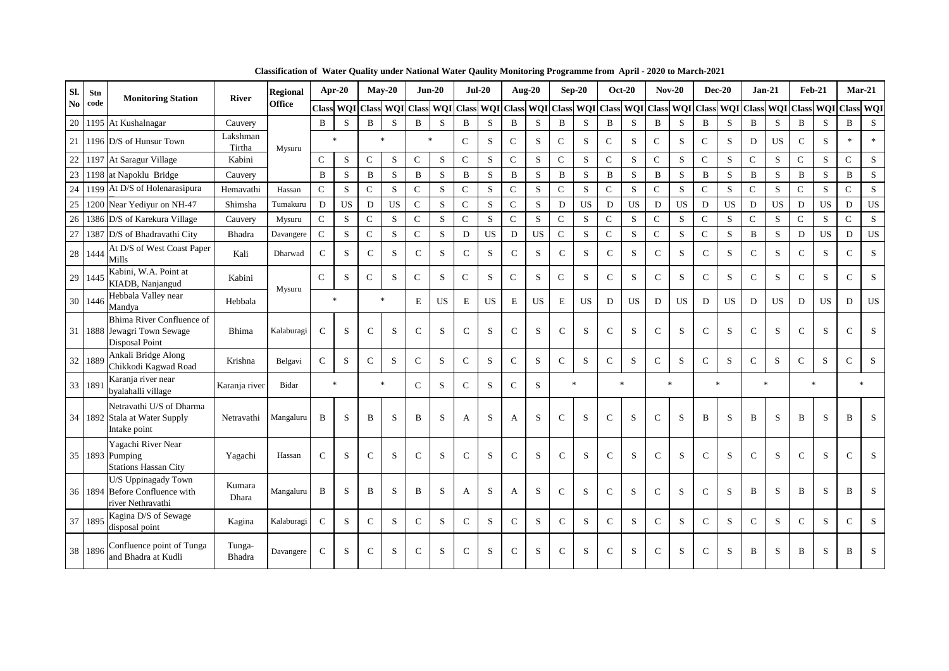| Sl.           | Stn  | <b>Monitoring Station</b>                                                      | <b>River</b>       | <b>Regional</b> | Apr-20         |           |                     | $Mav-20$     |               | $Jun-20$       | $Jul-20$      |           |                     | <b>Aug-20</b> |              | $Sep-20$       |               | <b>Oct-20</b>       |               | $Nov-20$     |               | $Dec-20$            | $Jan-21$      |              |               | <b>Feb-21</b> |                | $Mar-21$       |
|---------------|------|--------------------------------------------------------------------------------|--------------------|-----------------|----------------|-----------|---------------------|--------------|---------------|----------------|---------------|-----------|---------------------|---------------|--------------|----------------|---------------|---------------------|---------------|--------------|---------------|---------------------|---------------|--------------|---------------|---------------|----------------|----------------|
| $\mathbf{No}$ | code |                                                                                |                    | <b>Office</b>   |                |           | Class WQI Class WQI |              | <b>Class</b>  | WQI            | <b>Class</b>  |           | WQI Class WQI Class |               |              |                |               | WQI Class WQI Class |               | WQI          |               | Class WQI Class WQI |               |              | <b>Class</b>  | WQI           | Class WQI      |                |
| 20            |      | 1195 At Kushalnagar                                                            | Cauvery            |                 | B              | S         | B                   | S            | $\bf{B}$      | S              | $\mathbf B$   | S         | $\, {\bf B}$        | S             | $\mathbf B$  | S              | $\, {\bf B}$  | S                   | B             | S            | $\, {\bf B}$  | S                   | $\mathbf B$   | S            | B             | S             | $\, {\bf B}$   | S              |
| 21            |      | 1196 D/S of Hunsur Town                                                        | Lakshman<br>Tirtha | Mysuru          |                | $\ast$    |                     | $\mathbf{R}$ |               | $\frac{1}{20}$ | $\mathbf C$   | S         | $\mathsf{C}$        | S             | $\mathsf{C}$ | S              | $\mathsf{C}$  | S                   | $\mathcal{C}$ | S            | $\mathsf{C}$  | S                   | D             | <b>US</b>    | $\mathsf{C}$  | S             | $\ast$         | $\ast$         |
| 22            | 119  | At Saragur Village                                                             | Kabini             |                 | $\mathbf{C}$   | S         | $\mathbf C$         | $\mathbf S$  | $\mathsf{C}$  | S              | ${\bf C}$     | S         | ${\bf C}$           | S             | $\mathbf C$  | S              | $\mathsf{C}$  | S                   | $\mathbf{C}$  | S            | $\mathbf C$   | S                   | $\mathcal{C}$ | S            | $\mathsf C$   | S             | $\mathsf{C}$   | $\mathbf S$    |
| 23            | 1198 | at Napoklu Bridge                                                              | Cauvery            |                 | $\bf{B}$       | S         | B                   | S            | $\bf{B}$      | S              | $\mathbf B$   | ${\bf S}$ | $\, {\bf B}$        | S             | $\, {\bf B}$ | S              | $\, {\bf B}$  | S                   | $\, {\bf B}$  | S            | $\, {\bf B}$  | S                   | $\, {\bf B}$  | S            | B             | S             | $\, {\bf B}$   | ${\bf S}$      |
| 24            | 1199 | At D/S of Holenarasipura                                                       | Hemavathi          | Hassan          | $\mathcal{C}$  | S         | $\mathsf{C}$        | S            | $\mathbf C$   | S              | $\mathbf C$   | S         | $\mathcal{C}$       | S.            | $\mathsf{C}$ | S              | $\mathcal{C}$ | S                   | $\mathbf{C}$  | S.           | $\mathcal{C}$ | S                   | $\mathbf C$   | S            | $\mathsf{C}$  | S             | $\mathsf{C}$   | S              |
| 25            | 1200 | Near Yedivur on NH-47                                                          | Shimsha            | Tumakuru        | D              | <b>US</b> | D                   | <b>US</b>    | $\mathsf{C}$  | S              | $\mathcal{C}$ | S         | $\mathcal{C}$       | S             | D            | <b>US</b>      | D             | <b>US</b>           | D             | <b>US</b>    | D             | US                  | D             | <b>US</b>    | D             | <b>US</b>     | D              | US             |
| 26            | 1386 | D/S of Karekura Village                                                        | Cauvery            | Mysuru          | $\mathcal{C}$  | S         | $\mathbf C$         | S            | $\mathbf C$   | S              | $\mathsf{C}$  | S         | $\mathbf C$         | S             | $\mathbf C$  | S              | $\mathsf{C}$  | S                   | $\mathbf C$   | S            | $\mathsf{C}$  | S                   | $\mathcal{C}$ | S            | $\mathsf{C}$  | S             | $\mathsf{C}$   | ${\bf S}$      |
| 27            | 1387 | D/S of Bhadravathi City                                                        | Bhadra             | Davangere       | $\mathsf{C}$   | S         | $\mathbf C$         | $\mathbf S$  | $\mathsf{C}$  | S              | $\mathbf D$   | US        | $\mathbf D$         | <b>US</b>     | $\mathbf C$  | S              | $\mathbf C$   | S                   | $\mathbf C$   | ${\bf S}$    | $\mathbf C$   | S                   | $\, {\bf B}$  | $\mathbf S$  | ${\bf D}$     | <b>US</b>     | $\mathbf D$    | US             |
| 28            | 1444 | At D/S of West Coast Paper<br>Mills                                            | Kali               | Dharwad         | $\mathcal{C}$  | S         | $\mathcal{C}$       | S            | $\mathcal{C}$ | S              | $\mathcal{C}$ | S         | $\mathcal{C}$       | S             | $\mathsf{C}$ | S              | $\mathcal{C}$ | S                   | $\mathsf{C}$  | S            | $\mathsf{C}$  | S                   | $\mathcal{C}$ | S            | $\mathcal{C}$ | S             | $\mathcal{C}$  | S              |
| 29            | 144' | Kabini, W.A. Point at<br>KIADB, Nanjangud                                      | Kabini             | Mysuru          | $\overline{C}$ | S         | $\mathcal{C}$       | S            | $\mathsf{C}$  | S              | $\mathsf{C}$  | S         | $\mathbf C$         | S             | $\mathsf{C}$ | S              | $\mathbf C$   | S                   | $\mathsf{C}$  | S            | ${\bf C}$     | S                   | $\mathcal{C}$ | S            | $\mathbf C$   | S             | $\mathbf C$    | S              |
| 30            | 1446 | Hebbala Valley near<br>Mandya                                                  | Hebbala            |                 |                | $\ast$    | $\ast$              |              | E             | <b>US</b>      | E             | <b>US</b> | E                   | <b>US</b>     | $\mathbf E$  | <b>US</b>      | D             | <b>US</b>           | D             | <b>US</b>    | D             | <b>US</b>           | D             | <b>US</b>    | D             | <b>US</b>     | D              | <b>US</b>      |
| 31            |      | Bhima River Confluence of<br>1888 Jewagri Town Sewage<br><b>Disposal Point</b> | Bhima              | Kalaburagi      | $\mathsf{C}$   | S         | $\mathsf{C}$        | S            | $\mathsf{C}$  | S              | $\mathcal{C}$ | S         | $\mathbf C$         | S             | $\mathsf{C}$ | S              | $\mathsf{C}$  | S                   | $\mathsf{C}$  | S            | $\mathbf C$   | S                   | $\mathcal{C}$ | S            | $\mathsf{C}$  | S             | $\mathsf{C}$   | S              |
| 32            | 1889 | Ankali Bridge Along<br>Chikkodi Kagwad Road                                    | Krishna            | Belgavi         | $\mathsf{C}$   | S         | $\mathcal{C}$       | S            | $\mathbf C$   | S              | $\mathsf{C}$  | S         | $\mathbf C$         | S             | $\mathbf C$  | S              | $\mathsf{C}$  | S                   | $\mathbf C$   | S            | $\mathsf{C}$  | S                   | $\mathcal{C}$ | S            | $\mathbf C$   | S             | $\mathsf{C}$   | S              |
| 33            | 189  | Karanja river near<br>byalahalli village                                       | Karanja river      | Bidar           |                | $\ast$    | $\mathbf{k}$        |              | $\mathsf{C}$  | S              | $\mathsf{C}$  | S         | $\mathbf C$         | S             |              | $\mathbf{g}_i$ |               | $\mathbf{x}$        |               | $\mathbf{x}$ |               | s.                  |               | $\mathbf{R}$ |               | $\mathbf{R}$  |                | $\mathbf{g}_i$ |
| 34            |      | Netravathi U/S of Dharma<br>1892 Stala at Water Supply<br>Intake point         | Netravathi         | Mangaluru       | B              | S         | B                   | S            | B             | S              | A             | S         | A                   | S             | ${\bf C}$    | S              | $\mathsf{C}$  | S                   | $\mathsf{C}$  | S            | B             | S                   | B             | S            | B             | S             | B              | S              |
| 35            |      | Yagachi River Near<br>1893 Pumping<br><b>Stations Hassan City</b>              | Yagachi            | Hassan          | $\mathsf{C}$   | S         | $\mathsf{C}$        | S            | $\mathsf{C}$  | S              | $\mathcal{C}$ | S         | $\mathbf C$         | S             | $\mathsf{C}$ | S              | $\mathsf{C}$  | S                   | $\mathsf{C}$  | S            | $\mathsf{C}$  | S                   | $\mathcal{C}$ | S            | $\mathbf C$   | S             | $\mathsf{C}$   | S              |
| 36            |      | U/S Uppinagady Town<br>1894 Before Confluence with<br>river Nethravathi        | Kumara<br>Dhara    | Mangaluru       | B              | S         | B                   | S            | B             | S              | A             | S         | A                   | S             | $\mathsf{C}$ | S              | $\mathcal{C}$ | S                   | $\mathsf{C}$  | S            | $\mathsf{C}$  | S                   | B             | S            | B             | S             | $\overline{B}$ | S              |
| 37            | 1895 | Kagina D/S of Sewage<br>disposal point                                         | Kagina             | Kalaburagi      | $\mathsf{C}$   | S         | $\mathcal{C}$       | S            | $\mathsf{C}$  | S              | $\mathcal{C}$ | S         | $\mathsf{C}$        | S             | $\mathsf{C}$ | S              | $\mathsf{C}$  | S                   | $\mathbf C$   | S            | $\mathbf C$   | S                   | $\mathcal{C}$ | S            | $\mathbf C$   | S             | $\mathsf{C}$   | S              |
| 38            | 1896 | Confluence point of Tunga<br>and Bhadra at Kudli                               | Tunga-<br>Bhadra   | Davangere       | ${\bf C}$      | S         | $\mathbf C$         | S            | ${\bf C}$     | S              | $\mathsf{C}$  | S         | $\mathbf C$         | S             | $\mathsf{C}$ | S              | $\mathbf C$   | S                   | $\mathsf{C}$  | S            | $\mathbf C$   | S                   | B             | S            | B             | S             | B              | S              |

**Classification of Water Quality under National Water Qaulity Monitoring Programme from April - 2020 to March-2021**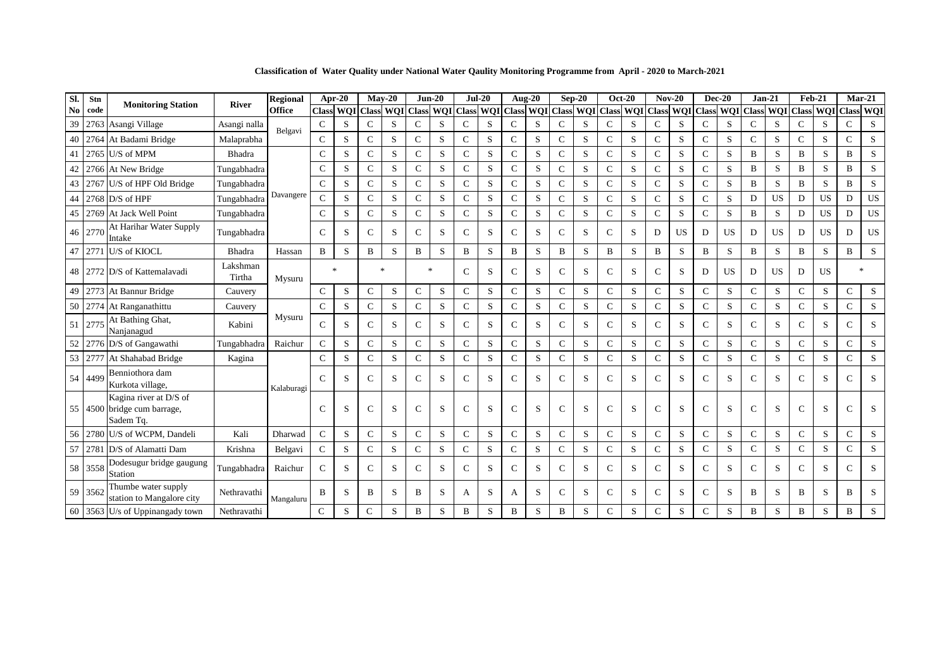**Classification of Water Quality under National Water Qaulity Monitoring Programme from April - 2020 to March-2021**

| SI. | Stn     | <b>Monitoring Station</b>                                          | <b>River</b>       | Regional      |               | Apr-20       |                  | $Mav-20$       | $Jun-20$      |            | $Jul-20$      |   | Aug- $20$        |           | $Sep-20$         |                  | $Oct-20$      |            | $Nov-20$      |             | $Dec-20$      |             | $Jan-21$      |                  | <b>Feb-21</b> |            | $Mar-21$      |            |
|-----|---------|--------------------------------------------------------------------|--------------------|---------------|---------------|--------------|------------------|----------------|---------------|------------|---------------|---|------------------|-----------|------------------|------------------|---------------|------------|---------------|-------------|---------------|-------------|---------------|------------------|---------------|------------|---------------|------------|
| No. | code    |                                                                    |                    | <b>Office</b> | <b>Class</b>  | <b>WOI</b>   | <b>Class WOI</b> |                | <b>Class</b>  | <b>WQI</b> | <b>Class</b>  |   | <b>WOI</b> Class |           | <b>WQI</b> Class | <b>WQI</b> Class |               | <b>WOI</b> | <b>Class</b>  | WQI         | <b>Class</b>  | <b>WQI</b>  | <b>Class</b>  | <b>WQI</b> Class |               | <b>WQI</b> | <b>Class</b>  | <b>WQI</b> |
| 39  | 2763    | Asangi Village                                                     | Asangi nalla       | Belgavi       | $\mathcal{C}$ | S            | $\mathcal{C}$    | S              | $\mathsf{C}$  | S          | $\mathsf{C}$  | S | $\mathbf C$      | S         | $\mathsf{C}$     | S                | $\mathsf{C}$  | S          | $\mathsf{C}$  | S           | $\mathbf C$   | S           | $\mathsf{C}$  | S                | $\mathsf{C}$  | S          | $\mathsf{C}$  | S          |
|     | 40 2764 | At Badami Bridge                                                   | Malaprabha         |               | $\mathcal{C}$ | S            | $\mathsf{C}$     | S              | $\mathsf{C}$  | S          | $\mathsf{C}$  | S | $\mathbf C$      | S         | $\mathsf{C}$     | S                | $\mathbf C$   | S          | $\mathsf{C}$  | S           | $\mathsf{C}$  | S           | $\mathsf{C}$  | S                | $\mathsf{C}$  | S          | C             | S          |
| 41  | 2765    | U/S of MPM                                                         | Bhadra             |               | $\mathsf{C}$  | S            | C                | S              | $\mathcal{C}$ | S          | $\mathcal{C}$ | S | $\mathbf C$      | S.        | $\mathcal{C}$    | S                | $\mathcal{C}$ | S          | $\mathsf{C}$  | S           | $\mathcal{C}$ | S           | B             | S                | B             | S          | B             | S          |
|     |         | 42 2766 At New Bridge                                              | Tungabhadra        |               | $\mathcal{C}$ | S            | $\mathsf{C}$     | S.             | $\mathsf{C}$  | S          | $\mathsf{C}$  | S | $\mathbf C$      | S.        | $\mathsf{C}$     | S                | $\mathsf{C}$  | S          | $\mathbf C$   | S           | $\mathsf{C}$  | S           | $\mathbf B$   | S                | B             | S          | $\bf{B}$      | S          |
| 43  |         | 2767 U/S of HPF Old Bridge                                         | Tungabhadra        |               | $\mathsf{C}$  | S            | $\mathsf{C}$     | S              | $\mathsf{C}$  | S          | $\mathsf{C}$  | S | $\mathcal{C}$    | S         | $\overline{C}$   | S                | $\mathsf{C}$  | S          | $\mathsf{C}$  | S           | $\mathsf{C}$  | S           | B             | S                | B             | S          | B             | S          |
| 44  |         | $2768$ D/S of HPF                                                  | Tungabhadra        | Davangere     | $\mathsf{C}$  | S            | $\mathcal{C}$    | S              | $\mathsf{C}$  | S          | $\mathsf{C}$  | S | $\mathbf C$      | ${\bf S}$ | $\overline{C}$   | S                | $\mathsf{C}$  | S          | $\mathbf C$   | ${\bf S}$   | $\mathsf{C}$  | S           | D             | <b>US</b>        | D             | <b>US</b>  | D             | US         |
|     |         | 45   2769   At Jack Well Point                                     | Tungabhadra        |               | $\mathsf{C}$  | S            | $\mathbf C$      | S              | $\mathsf{C}$  | S          | $\mathsf{C}$  | S | $\mathbf C$      | ${\bf S}$ | $\mathsf{C}$     | S                | $\mathsf{C}$  | S          | $\mathbf C$   | $\mathbf S$ | $\mathsf{C}$  | S           | B             | S                | D             | <b>US</b>  | D             | US         |
|     | 46 2770 | At Harihar Water Supply<br>Intake                                  | Tungabhadra        |               | $\mathsf{C}$  | S            | $\mathsf{C}$     | S              | $\mathbf C$   | S          | $\mathsf{C}$  | S | $\mathsf{C}$     | S.        | $\mathsf{C}$     | S                | $\mathsf{C}$  | S          | D             | <b>US</b>   | D             | <b>US</b>   | D             | <b>US</b>        | D             | <b>US</b>  | D             | US         |
|     | 47 2771 | U/S of KIOCL                                                       | Bhadra             | Hassan        | $\, {\bf B}$  | S            | $\bf{B}$         | ${\bf S}$      | B             | S          | B             | S | B                | S         | B                | S                | $\bf{B}$      | S          | B             | S           | $\bf{B}$      | S           | $\mathbf B$   | S                | B             | S          | $\bf{B}$      | S          |
|     |         | 48 2772 D/S of Kattemalavadi                                       | Lakshman<br>Tirtha | Mysuru        |               | $\mathbf{x}$ |                  | $\frac{1}{26}$ | 宋             |            | $\mathsf{C}$  | S | $\mathsf{C}$     | S         | $\mathbf C$      | S                | $\mathcal{C}$ | S          | $\mathbf C$   | S           | D             | <b>US</b>   | D             | <b>US</b>        | D             | <b>US</b>  | $\frac{1}{2}$ |            |
|     |         | 49   2773   At Bannur Bridge                                       | Cauvery            |               | $\mathcal{C}$ | S            | $\mathsf{C}$     | ${\bf S}$      | $\mathsf{C}$  | S          | $\mathbf C$   | S | ${\bf C}$        | ${\bf S}$ | $\mathsf{C}$     | S                | $\mathsf{C}$  | S          | $\mathbf C$   | ${\bf S}$   | ${\bf C}$     | $\mathbf S$ | $\mathsf{C}$  | S                | ${\bf C}$     | S          | $\mathsf{C}$  | ${\bf S}$  |
|     | 50 2774 | At Ranganathittu                                                   | Cauvery            |               | $\mathsf{C}$  | S            | $\mathbf C$      | S              | $\mathsf{C}$  | S          | $\mathbf C$   | S | $\mathbf C$      | S         | $\mathsf{C}$     | S                | $\mathsf{C}$  | S          | $\mathbf C$   | S           | $\mathsf{C}$  | S           | $\mathsf{C}$  | S                | $\mathbf C$   | S          | C             | S          |
| 51  | 2775    | At Bathing Ghat,<br>Nanjanagud                                     | Kabini             | Mysuru        | C             | S            | $\mathcal{C}$    | S              | $\mathcal{C}$ | S          | $\mathsf{C}$  | S | $\mathsf{C}$     | S         | $\mathsf{C}$     | S                | $\mathcal{C}$ | S          | $\mathsf{C}$  | S           | $\mathcal{C}$ | S           | $\mathcal{C}$ | S                | $\mathsf{C}$  | S          | $\mathsf{C}$  | S          |
|     | 52 2776 | D/S of Gangawathi                                                  | Tungabhadra        | Raichur       | $\mathsf{C}$  | S            | $\mathcal{C}$    | S              | $\mathsf{C}$  | S          | $\mathsf{C}$  | S | $\mathbf C$      | S         | $\mathcal{C}$    | S                | $\mathbf C$   | S          | $\mathbf C$   | S           | $\mathbf C$   | S           | $\mathcal{C}$ | S                | $\mathbf C$   | S          | C             | S          |
|     | 53 2777 | At Shahabad Bridge                                                 | Kagina             |               | $\mathsf{C}$  | S            | C                | S              | $\mathcal{C}$ | S          | $\mathsf{C}$  | S | $\mathsf{C}$     | S         | $\mathsf{C}$     | S                | $\mathsf{C}$  | S          | $\mathbf C$   | S           | $\mathsf{C}$  | S           | $\mathsf{C}$  | S                | $\mathbf C$   | S          | C             | S          |
|     | 54 4499 | Benniothora dam<br>Kurkota village,                                |                    | Kalaburagi    | $\mathsf{C}$  | S            | C                | S              | $\mathsf{C}$  | S          | $\mathsf{C}$  | S | $\mathsf{C}$     | S         | $\mathsf{C}$     | S                | $\mathcal{C}$ | S          | $\mathsf{C}$  | S           | $\mathsf{C}$  | S           | $\mathsf{C}$  | S                | $\mathsf{C}$  | S          | C             | S          |
|     |         | Kagina river at D/S of<br>55 4500 bridge cum barrage,<br>Sadem Tq. |                    |               | C             | S            | C                | S              | $\mathcal{C}$ | S          | $\mathsf{C}$  | S | $\mathsf{C}$     | S         | $\mathsf{C}$     | S                | $\mathcal{C}$ | S          | $\mathcal{C}$ | S           | $\mathcal{C}$ | S           | $\mathcal{C}$ | S                | $\mathbf C$   | S          | $\mathsf{C}$  | S          |
|     |         | 56 2780 U/S of WCPM, Dandeli                                       | Kali               | Dharwad       | $\mathcal{C}$ | S            | C                | S              | $\mathsf{C}$  | S          | $\mathsf{C}$  | S | $\mathsf{C}$     | S         | $\mathsf{C}$     | S                | $\mathsf{C}$  | S          | $\mathbf C$   | S           | $\mathsf{C}$  | S           | $\mathcal{C}$ | S                | $\mathbf C$   | S          | $\mathsf{C}$  | S          |
|     |         | 57 2781 D/S of Alamatti Dam                                        | Krishna            | Belgavi       | $\mathsf{C}$  | S            | $\mathsf{C}$     | S              | $\mathsf{C}$  | S          | $\mathsf{C}$  | S | $\mathbf C$      | S         | $\mathsf{C}$     | S                | $\mathsf{C}$  | S          | $\mathsf{C}$  | S           | $\mathsf{C}$  | S           | $\mathcal{C}$ | S                | $\mathbf C$   | S          | C             | S          |
|     | 58 3558 | Dodesugur bridge gaugung<br>Station                                | Tungabhadra        | Raichur       | C             | S            | $\mathbf C$      | S              | $\mathsf{C}$  | S          | $\mathsf{C}$  | S | $\mathsf{C}$     | S         | $\mathsf{C}$     | S                | $\mathsf{C}$  | S          | $\mathbf C$   | S           | $\mathsf{C}$  | S           | $\mathcal{C}$ | S                | $\mathbf C$   | S          | $\mathsf{C}$  | S          |
|     | 59 3562 | Thumbe water supply<br>station to Mangalore city                   | Nethravathi        | Mangaluru     | B             | S            | B                | S              | B             | S          | A             | S | A                | S         | $\mathsf{C}$     | S                | $\mathcal{C}$ | S          | $\mathbf C$   | S           | $\mathsf{C}$  | S           | B             | S                | B             | S          | B             | S          |
|     |         | 60 3563 U/s of Uppinangady town                                    | Nethravathi        |               | $\mathsf{C}$  | S            | C                | S              | B             | S          | B             | S | B                | S         | B                | S                | ${\bf C}$     | S          | $\mathbf C$   | S           | $\mathsf{C}$  | S           | B             | S                | B             | S          | B             | S          |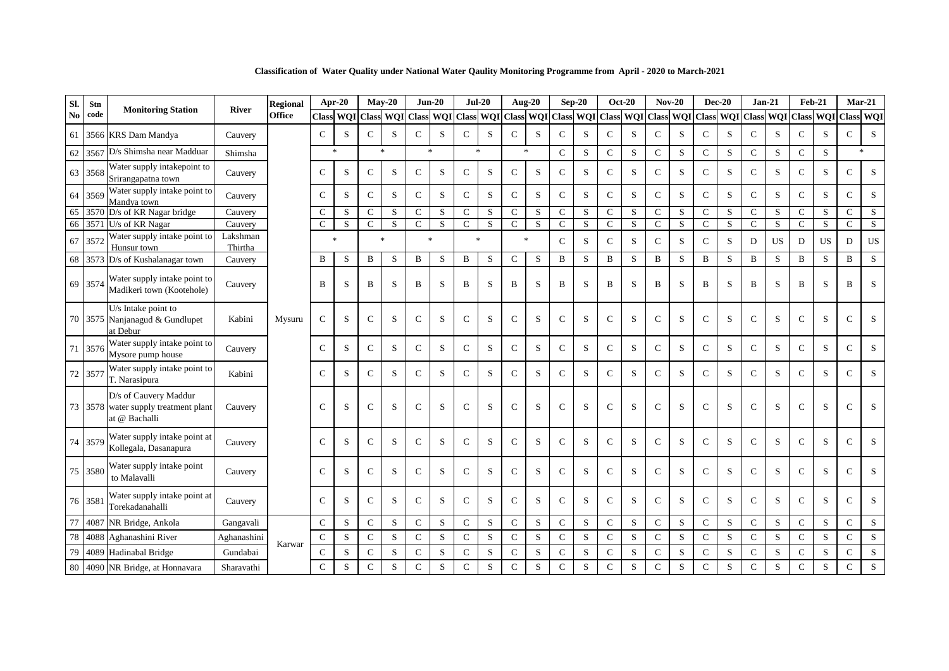| Sl. | Stn     |                                                                                |                     | <b>Regional</b> |               | Apr-20               |               | $Mav-20$ |               | $Jun-20$                          | $Jul-20$            |   |               | Aug-20       |              | $Sep-20$  |               | <b>Oct-20</b> | $Nov-20$             |   |               | <b>Dec-20</b> |                  | $Jan-21$  | <b>Feb-21</b> |               | $Mar-21$      |                                   |
|-----|---------|--------------------------------------------------------------------------------|---------------------|-----------------|---------------|----------------------|---------------|----------|---------------|-----------------------------------|---------------------|---|---------------|--------------|--------------|-----------|---------------|---------------|----------------------|---|---------------|---------------|------------------|-----------|---------------|---------------|---------------|-----------------------------------|
| No  | code    | <b>Monitoring Station</b>                                                      | <b>River</b>        | <b>Office</b>   | <b>Class</b>  | <b>WQI</b> Class WQI |               |          | <b>Class</b>  | <b>WOI</b>                        | Class WQI Class WQI |   |               |              | <b>Class</b> | WQI       | <b>Class</b>  |               | <b>WOI</b> Class WOI |   | <b>Class</b>  |               | <b>WQI</b> Class |           |               | WQI Class WQI | <b>Class</b>  | <b>WQI</b>                        |
| 61  |         | 3566 KRS Dam Mandya                                                            | Cauvery             |                 | $\mathcal{C}$ | S                    | C             | S        | $\mathsf{C}$  | S                                 | $\mathsf{C}$        | S | $\mathsf{C}$  | S            | $\mathbf C$  | S         | $\mathbf C$   | S             | $\mathcal{C}$        | S | $\mathbf C$   | S             | $\mathsf{C}$     | S         | $\mathbf C$   | S             | $\mathsf{C}$  | S                                 |
| 62  | 3567    | D/s Shimsha near Madduar                                                       | Shimsha             |                 |               | $\ast$               | $\ast$        |          |               | $\frac{d\mathbf{x}}{d\mathbf{x}}$ | $\ast$              |   |               | $\ast$       | $\mathbf C$  | S         | $\mathbf C$   | S             | $\mathbf{C}$         | S | $\mathbf C$   | S             | $\mathbf C$      | S         | $\mathbf C$   | S.            |               | $\frac{d\mathbf{x}}{d\mathbf{x}}$ |
|     | 63 3568 | Water supply intakepoint to<br>Srirangapatna town                              | Cauvery             |                 | $\mathsf{C}$  | S                    | $\mathbf C$   | S        | $\mathsf{C}$  | S                                 | $\mathsf{C}$        | S | $\mathcal{C}$ | S            | $\mathbf C$  | S         | $\mathbf C$   | S             | $\mathcal{C}$        | S | $\mathbf C$   | S             | $\mathsf{C}$     | S         | $\mathbf C$   | S             | $\mathsf{C}$  | S                                 |
|     | 64 3569 | Water supply intake point to<br>Mandya town                                    | Cauvery             |                 | $\mathcal{C}$ | S                    | $\mathbf C$   | S        | $\mathbf C$   | S                                 | $\mathbf C$         | S | $\mathcal{C}$ | S            | $\mathbf C$  | S         | $\mathbf C$   | S             | $\mathbf{C}$         | S | $\mathsf{C}$  | ${\bf S}$     | $\mathcal{C}$    | S         | $\mathbf{C}$  | S             | $\mathcal{C}$ | S                                 |
|     |         | 65 3570 D/s of KR Nagar bridge                                                 | Cauvery             |                 | $\mathcal{C}$ | S                    | $\mathcal{C}$ | S        | $\mathbf C$   | S                                 | $\mathbf C$         | S | $\mathsf{C}$  | S            | $\mathbf C$  | S         | $\mathcal{C}$ | S             | $\mathcal{C}$        | S | $\mathsf{C}$  | S             | $\mathcal{C}$    | S         | $\mathbf C$   | S             | $\mathsf{C}$  | S                                 |
|     |         | 66 3571 U/s of KR Nagar                                                        | Cauvery             |                 | $\mathcal{C}$ | S                    | $\mathcal{C}$ | S        | $\mathbf{C}$  | S                                 | $\mathcal{C}$       | S | $\mathsf{C}$  | S            | $\mathsf{C}$ | S         | $\mathcal{C}$ | S             | $\mathsf{C}$         | S | $\mathsf{C}$  | S             | $\mathcal{C}$    | S         | $\mathcal{C}$ | S.            | $\mathsf{C}$  | S                                 |
|     | 67 357  | Water supply intake point to<br>Hunsur town                                    | Lakshman<br>Thirtha |                 |               | $\ast$               | $\ast$        |          | $\frac{1}{2}$ |                                   | $\ast$              |   |               | $\mathbf{R}$ | $\mathsf{C}$ | S         | $\mathcal{C}$ | S             | $\mathsf{C}$         | S | $\mathsf{C}$  | S             | D                | <b>US</b> | D             | <b>US</b>     | D             | <b>US</b>                         |
|     |         | 68 3573 D/s of Kushalanagar town                                               | Cauvery             |                 | B             | S                    | $\mathbf B$   | S        | $\, {\bf B}$  | S                                 | $\, {\bf B}$        | S | $\mathbf C$   | S            | B            | S         | $\mathbf B$   | S             | $\, {\bf B}$         | S | B             | S             | $\mathbf B$      | S         | B             | S.            | B             | S                                 |
|     | 69 3574 | Water supply intake point to<br>Madikeri town (Kootehole)                      | Cauvery             |                 | B             | S                    | B             | S        | B             | S                                 | B                   | S | B             | S            | B            | S         | B             | <sub>S</sub>  | B                    | S | B             | S             | B                | S         | B             | S             | B             | S                                 |
|     |         | U/s Intake point to<br>70 3575 Nanjanagud & Gundlupet<br>at Debur              | Kabini              | Mysuru          | $\mathsf{C}$  | S                    | $\mathcal{C}$ | S        | $\mathcal{C}$ | S                                 | $\mathcal{C}$       | S | $\mathsf{C}$  | S            | $\mathsf{C}$ | S         | $\mathcal{C}$ | S             | $\mathcal{C}$        | S | $\mathsf{C}$  | S             | $\mathcal{C}$    | S         | $\mathcal{C}$ | S             | $\mathcal{C}$ | S                                 |
|     | 71 357  | Water supply intake point to<br>Mysore pump house                              | Cauvery             |                 | $\mathsf{C}$  | S                    | $\mathsf{C}$  | S        | $\mathsf{C}$  | S                                 | $\mathcal{C}$       | S | $\mathbf C$   | S            | $\mathsf{C}$ | S         | $\mathsf{C}$  | S             | $\mathsf{C}$         | S | $\mathsf{C}$  | S             | $\mathsf{C}$     | S         | $\mathsf{C}$  | S             | $\mathcal{C}$ | S                                 |
|     | 72 3577 | Water supply intake point to<br>T. Narasipura                                  | Kabini              |                 | $\mathcal{C}$ | S                    | $\mathbf C$   | S        | $\mathsf{C}$  | S                                 | $\mathcal{C}$       | S | $\mathsf{C}$  | S            | $\mathsf{C}$ | S         | $\mathbf C$   | S             | $\mathbf C$          | S | $\mathsf{C}$  | S             | $\mathsf{C}$     | S         | $\mathsf{C}$  | S             | $\mathsf{C}$  | S                                 |
|     |         | D/s of Cauvery Maddur<br>73 3578 water supply treatment plant<br>at @ Bachalli | Cauvery             |                 | $\mathcal{C}$ | S                    | C             | S        | $\mathcal{C}$ | S                                 | $\mathsf{C}$        | S | $\mathcal{C}$ | S            | $\mathsf{C}$ | S         | $\mathcal{C}$ | S             | $\mathsf{C}$         | S | $\mathcal{C}$ | S             | $\mathcal{C}$    | S         | $\mathcal{C}$ | S             | $\mathcal{C}$ | S                                 |
|     | 74 3579 | Water supply intake point at<br>Kollegala, Dasanapura                          | Cauvery             |                 | $\mathcal{C}$ | S                    | $\mathcal{C}$ | S        | $\mathsf{C}$  | S                                 | $\mathcal{C}$       | S | $\mathcal{C}$ | S            | $\mathsf{C}$ | S         | $\mathsf{C}$  | S             | $\mathcal{C}$        | S | $\mathsf{C}$  | S             | $\mathcal{C}$    | S         | $\mathsf{C}$  | S             | $\mathcal{C}$ | S                                 |
|     | 75 3580 | Water supply intake point<br>to Malavalli                                      | Cauvery             |                 | $\mathcal{C}$ | S                    | C             | S        | $\mathsf{C}$  | S                                 | $\mathcal{C}$       | S | $\mathsf{C}$  | S            | $\mathsf{C}$ | S         | $\mathcal{C}$ | S             | $\mathsf{C}$         | S | $\mathsf{C}$  | S             | $\mathcal{C}$    | S         | $\mathsf{C}$  | S             | $\mathcal{C}$ | S                                 |
|     | 76 3581 | Water supply intake point at<br>Torekadanahalli                                | Cauvery             |                 | $\mathsf{C}$  | S                    | $\mathbf C$   | S        | ${\bf C}$     | ${\bf S}$                         | $\mathbf C$         | S | $\mathsf{C}$  | S            | $\mathsf{C}$ | ${\bf S}$ | $\mathsf{C}$  | S             | $\mathbf C$          | S | $\mathsf{C}$  | S             | $\mathsf{C}$     | S         | $\mathsf{C}$  | S             | $\mathsf{C}$  | ${\bf S}$                         |
| 77  |         | 4087 NR Bridge, Ankola                                                         | Gangavali           |                 | $\mathsf{C}$  | S                    | $\mathsf{C}$  | S        | ${\bf C}$     | S                                 | $\mathbf C$         | S | $\mathsf{C}$  | S            | $\mathbf C$  | S         | $\mathbf C$   | S             | $\mathbf C$          | S | $\mathsf{C}$  | S             | $\mathsf{C}$     | S         | $\mathsf{C}$  | S             | $\mathsf{C}$  | S                                 |
| 78  | 4088    | Aghanashini River                                                              | Aghanashini         |                 | $\mathsf{C}$  | S                    | $\mathbf C$   | S        | $\mathbf C$   | S                                 | $\mathbf C$         | S | $\mathsf{C}$  | S            | $\mathbf C$  | S         | $\mathbf C$   | S             | $\mathbf C$          | S | $\mathsf{C}$  | S             | $\mathcal{C}$    | S         | $\mathsf{C}$  | S             | $\mathbf C$   | $\mathbf S$                       |
| 79  |         | 4089 Hadinabal Bridge                                                          | Gundabai            | Karwar          | $\mathbf C$   | S                    | $\mathsf{C}$  | S        | $\mathsf{C}$  | S                                 | $\mathbf C$         | S | $\mathcal{C}$ | S            | $\mathsf{C}$ | S         | $\mathsf{C}$  | S             | $\mathbf C$          | S | $\mathsf{C}$  | ${\bf S}$     | $\mathbf C$      | S         | $\mathbf C$   | S             | $\mathsf{C}$  | S                                 |
|     |         | 80 4090 NR Bridge, at Honnavara                                                | Sharavathi          |                 | ${\bf C}$     | S                    | $\mathbf C$   | S        | $\mathbf C$   | S                                 | $\mathbf C$         | S | $\mathbf C$   | S            | $\mathbf C$  | S         | $\mathcal{C}$ | S             | $\mathbf C$          | S | $\mathsf{C}$  | S             | $\mathbf C$      | S         | $\mathbf C$   | S             | $\mathsf C$   | S                                 |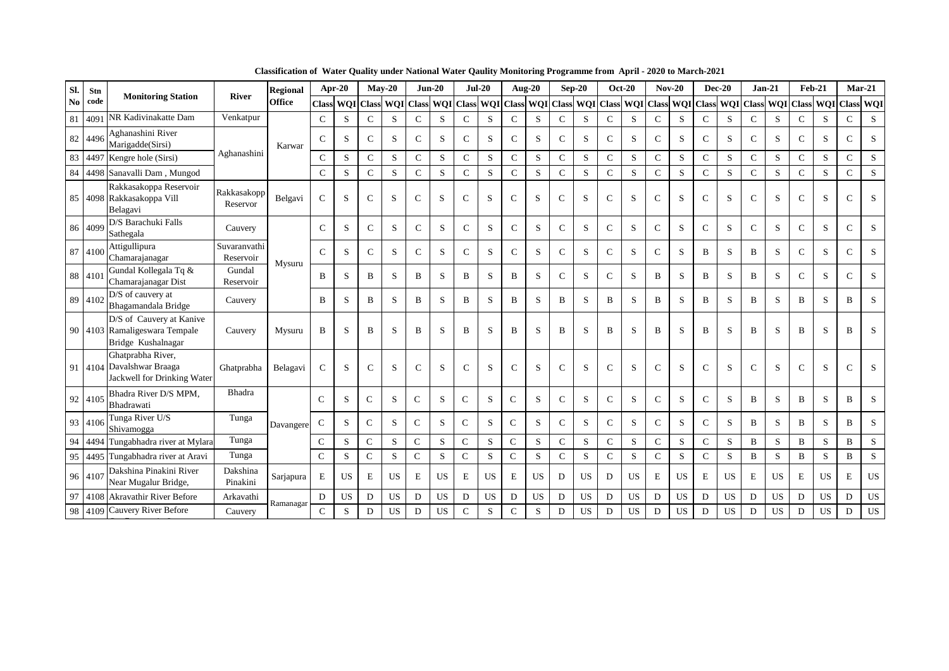| SI. | Stn     | <b>Monitoring Station</b>                                                       | <b>River</b>              | <b>Regional</b> |               | Apr-20     |               | $Mav-20$  |               | $Jun-20$   |               | $Jul-20$   |               | <b>Aug-20</b> |               | $Sep-20$  |               | <b>Oct-20</b> | $Nov-20$      |              |              | $Dec-20$   | $Jan-21$         |           | <b>Feb-21</b> |            | $Mar-21$         |           |
|-----|---------|---------------------------------------------------------------------------------|---------------------------|-----------------|---------------|------------|---------------|-----------|---------------|------------|---------------|------------|---------------|---------------|---------------|-----------|---------------|---------------|---------------|--------------|--------------|------------|------------------|-----------|---------------|------------|------------------|-----------|
| No  | code    |                                                                                 |                           | <b>Office</b>   | <b>Class</b>  | <b>WOI</b> | Class WQI     |           | <b>Class</b>  | <b>WOI</b> | <b>Class</b>  | <b>WOI</b> | <b>Class</b>  | WQI           | <b>Class</b>  | WQI       | <b>Class</b>  | <b>WOI</b>    | <b>Class</b>  | <b>WOI</b>   | <b>Class</b> | <b>WOI</b> | <b>Class WOI</b> |           | <b>Class</b>  | <b>WOI</b> | <b>Class WQI</b> |           |
| 81  | 409     | NR Kadivinakatte Dam                                                            | Venkatpur                 |                 | $\mathsf{C}$  | S          | $\mathbf C$   | S         | $\mathbf C$   | S          | $\mathsf{C}$  | S          | $\mathbf C$   | S             | $\mathsf{C}$  | S         | $\mathbf C$   | S             | $\mathbf C$   | S            | $\mathsf{C}$ | S          | $\mathsf{C}$     | S         | $\mathsf{C}$  | S          | $\mathsf{C}$     | S         |
|     | 82 449  | Aghanashini River<br>Marigadde(Sirsi)                                           |                           | Karwar          | $\mathsf{C}$  | S          | $\mathbf C$   | S         | $\mathsf{C}$  | S          | C             | S          | $\mathbf C$   | S             | $\mathsf{C}$  | S         | $\mathsf{C}$  | S             | $\mathbf C$   | S            | $\mathbf C$  | S          | $\mathcal{C}$    | S         | $\mathsf{C}$  | S          | $\mathcal{C}$    | S         |
| 83  | 4497    | Kengre hole (Sirsi)                                                             | Aghanashini               |                 | $\mathsf{C}$  | S          | $\mathbf C$   | S         | $\mathsf{C}$  | S          | $\mathsf{C}$  | S          | $\mathbf C$   | ${\bf S}$     | $\mathbf C$   | S         | $\mathbf C$   | S             | ${\bf C}$     | S            | $\mathbf C$  | S          | $\mathsf{C}$     | S         | ${\bf C}$     | S          | $\mathsf{C}$     | S         |
| 84  |         | 4498 Sanavalli Dam, Mungod                                                      |                           |                 | $\mathsf{C}$  | S          | $\mathbf C$   | S         | $\mathbf C$   | S          | $\mathsf{C}$  | S          | $\mathbf C$   | S             | $\mathsf{C}$  | S         | $\mathbf C$   | S             | $\mathbf C$   | S            | $\mathbf C$  | S          | $\mathsf{C}$     | S         | $\mathbf C$   | S          | $\mathsf{C}$     | S         |
| 85  |         | Rakkasakoppa Reservoir<br>4098 Rakkasakoppa Vill<br>Belagavi                    | Rakkasakopp<br>Reservor   | Belgavi         | $\mathsf{C}$  | S          | $\mathcal{C}$ | S         | $\mathbf C$   | S          | $\mathsf{C}$  | S          | $\mathsf{C}$  | S             | $\mathsf{C}$  | S         | $\mathsf{C}$  | S             | $\mathsf{C}$  | S            | $\mathsf{C}$ | S          | $\mathbf C$      | S         | $\mathbf C$   | S          | $\mathcal{C}$    | S         |
|     | 86 409  | D/S Barachuki Falls<br>Sathegala                                                | Cauvery                   |                 | $\mathsf{C}$  | S          | $\mathsf{C}$  | S         | $\mathbf C$   | S          | $\mathcal{C}$ | S          | $\mathbf{C}$  | S             | $\mathbf C$   | S         | $\mathsf{C}$  | S             | $\mathsf{C}$  | S            | $\mathsf{C}$ | S          | $\mathsf{C}$     | S         | $\mathsf{C}$  | S          | $\mathcal{C}$    | S         |
|     | 87 4100 | Attigullipura<br>Chamarajanagar                                                 | Suvaranvathi<br>Reservoir | Mysuru          | $\mathcal{C}$ | S          | $\mathbf C$   | S         | $\mathcal{C}$ | S          | $\mathcal{C}$ | S          | $\mathbf{C}$  | S             | $\mathcal{C}$ | S         | $\mathsf{C}$  | S             | $\mathcal{C}$ | S            | B            | S          | B                | S         | $\mathcal{C}$ | S          | $\mathcal{C}$    | S         |
|     | 88 410  | Gundal Kollegala Tq &<br>Chamarajanagar Dist                                    | Gundal<br>Reservoir       |                 | B             | S          | B             | S         | B             | S          | B             | S          | B             | S             | $\mathbf C$   | S         | $\mathsf{C}$  | S             | B             | S            | B            | S          | B                | S         | $\mathsf{C}$  | S          | $\mathcal{C}$    | S         |
|     | 89 410  | D/S of cauvery at<br>Bhagamandala Bridge                                        | Cauvery                   |                 | B             | S          | B             | S         | B             | S          | B             | S          | B             | S             | B             | S         | B             | S             | B             | S            | B            | S          | B                | S         | B             | S          | B                | S         |
|     |         | D/S of Cauvery at Kanive<br>90 4103 Ramaligeswara Tempale<br>Bridge Kushalnagar | Cauvery                   | Mysuru          | $\, {\bf B}$  | S          | B             | S         | B             | S          | $\bf{B}$      | S          | B             | S             | B             | S         | B             | S             | B             | S            | B            | S          | B                | S         | B             | S          | B                | S         |
|     |         | Ghatprabha River,<br>91 4104 Davalshwar Braaga<br>Jackwell for Drinking Water   | Ghatprabha                | Belagavi        | $\mathsf{C}$  | S          | $\mathsf{C}$  | S         | $\mathsf{C}$  | S          | $\mathsf{C}$  | S          | $\mathsf{C}$  | S             | $\mathsf{C}$  | S         | C             | S             | $\mathbf C$   | S            | $\mathsf{C}$ | S          | $\mathsf{C}$     | S         | $\mathsf{C}$  | S          | C                | S         |
|     | 92 4105 | Bhadra River D/S MPM,<br>Bhadrawati                                             | <b>Bhadra</b>             |                 | $\mathcal{C}$ | S          | $\mathsf{C}$  | S         | $\mathsf{C}$  | S          | $\mathsf{C}$  | S          | $\mathcal{C}$ | S             | $\mathbf C$   | S         | $\mathbf C$   | S             | $\mathbf C$   | S            | $\mathsf{C}$ | S          | B                | S         | B             | S          | B                | S         |
|     | 93 4106 | Tunga River U/S<br>Shivamogga                                                   | Tunga                     | Davangere       | $\mathcal{C}$ | S          | $\mathcal{C}$ | S.        | $\mathsf{C}$  | S          | $\mathcal{C}$ | S          | $\mathbf C$   | S             | $\mathsf{C}$  | S         | $\mathcal{C}$ | S             | $\mathbf C$   | S            | $\mathsf{C}$ | S          | B                | S         | B             | S          | B                | S         |
| 94  | 4494    | Tungabhadra river at Mylara                                                     | Tunga                     |                 | $\mathsf{C}$  | S          | $\mathsf{C}$  | S         | $\mathbf C$   | S          | $\mathsf{C}$  | S          | $\mathcal{C}$ | S             | $\mathsf{C}$  | S         | $\mathbf C$   | S             | $\mathbf C$   | S            | $\mathsf{C}$ | S          | B                | S         | $\, {\bf B}$  | S          | $\, {\bf B}$     | S         |
| 95  | 4495    | Tungabhadra river at Aravi                                                      | Tunga                     |                 | $\mathsf{C}$  | S          | $\mathsf{C}$  | S         | $\mathsf{C}$  | S          | $\mathcal{C}$ | S          | $\mathbf C$   | S             | $\mathsf{C}$  | S         | $\mathcal{C}$ | S             | $\mathbf C$   | <sub>S</sub> | $\mathsf{C}$ | S          | B                | S         | B             | S          | $\mathbf B$      | S         |
|     | 96 410  | Dakshina Pinakini River<br>Near Mugalur Bridge,                                 | Dakshina<br>Pinakini      | Sarjapura       | $\mathbf E$   | <b>US</b>  | E             | <b>US</b> | E             | <b>US</b>  | $\mathbf E$   | <b>US</b>  | E             | <b>US</b>     | D             | <b>US</b> | D             | US            | E             | US           | $\mathbf E$  | US         | E                | <b>US</b> | E             | <b>US</b>  | E                | US        |
| 97  | 4108    | Akravathir River Before                                                         | Arkavathi                 | Ramanagar       | ${\rm D}$     | <b>US</b>  | D             | US        | D             | <b>US</b>  | $\mathbf D$   | <b>US</b>  | D             | <b>US</b>     | $\mathbf D$   | <b>US</b> | D             | <b>US</b>     | D             | <b>US</b>    | D            | US         | D                | <b>US</b> | D             | <b>US</b>  | D                | <b>US</b> |
|     |         | 98 4109 Cauvery River Before                                                    | Cauvery                   |                 | $\mathcal{C}$ | S          | D             | <b>US</b> | D             | <b>US</b>  | $\mathsf{C}$  | S          | $\mathcal{C}$ | S             | D             | <b>US</b> | D             | <b>US</b>     | D             | <b>US</b>    | D            | US         | D                | <b>US</b> | D             | <b>US</b>  | D                | US        |

**Classification of Water Quality under National Water Qaulity Monitoring Programme from April - 2020 to March-2021**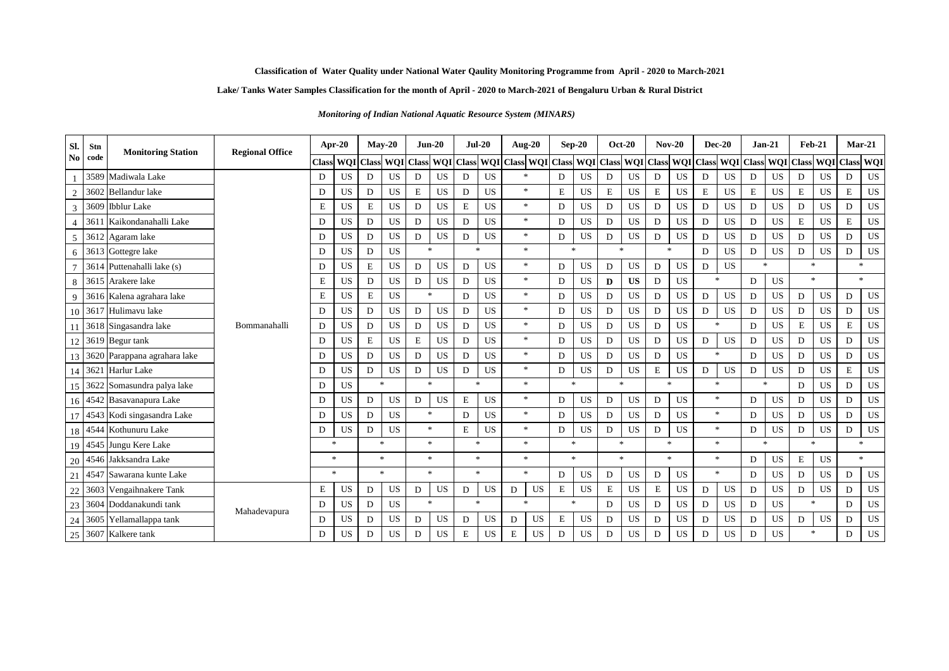### **Lake/ Tanks Water Samples Classification for the month of April - 2020 to March-2021 of Bengaluru Urban & Rural District**

*Monitoring of Indian National Aquatic Resource System (MINARS)* 

| Sl.             | Stn  | <b>Monitoring Station</b>    | <b>Regional Office</b> | Apr-20       |           |               | $May-20$      |                | $Jun-20$                          | $Jul-20$     |           | <b>Aug-20</b>       |             | $Sep-20$                |              | <b>Oct-20</b> |   | $Nov-20$      |                                   | <b>Dec-20</b>                     | $Jan-21$         |                  | <b>Feb-21</b> |            | $Mar-21$       |            |
|-----------------|------|------------------------------|------------------------|--------------|-----------|---------------|---------------|----------------|-----------------------------------|--------------|-----------|---------------------|-------------|-------------------------|--------------|---------------|---|---------------|-----------------------------------|-----------------------------------|------------------|------------------|---------------|------------|----------------|------------|
| No              | code |                              |                        | <b>Class</b> |           | WQI Class WQI |               | <b>Class</b>   | <b>WQI</b> Class                  |              |           | WQI Class WQI Class |             | <b>WOI</b> Class        |              |               |   | WQI Class WQI | <b>Class</b>                      |                                   | <b>WOI</b> Class | <b>WOI</b> Class |               | <b>WOI</b> | <b>Class</b>   | <b>WOI</b> |
|                 |      | 3589 Madiwala Lake           |                        | D            | US        | D             | <b>US</b>     | D              | <b>US</b>                         | D            | US        | $\frac{1}{2}$       | D           | <b>US</b>               | D            | US            | D | <b>US</b>     | D                                 | <b>US</b>                         | D                | US               | D             | <b>US</b>  | D              | <b>US</b>  |
| $\overline{2}$  | 3602 | <b>Bellandur</b> lake        |                        | D            | US        | D             | <b>US</b>     | E              | <b>US</b>                         | D            | US        | $\gg$               | E           | <b>US</b>               | $\mathbf E$  | <b>US</b>     | E | <b>US</b>     | E                                 | <b>US</b>                         | $\mathbf E$      | <b>US</b>        | E             | <b>US</b>  | E              | <b>US</b>  |
| 3               | 3609 | <b>Ibblur</b> Lake           |                        | E            | US        | E             | <b>US</b>     | D              | <b>US</b>                         | $\mathbf E$  | <b>US</b> | $\mathcal{H}$       | D           | <b>US</b>               | D            | <b>US</b>     | D | <b>US</b>     | D                                 | <b>US</b>                         | D                | <b>US</b>        | D             | <b>US</b>  | D              | <b>US</b>  |
| $\overline{4}$  | 3611 | Kaikondanahalli Lake         |                        | D            | US        | D             | <b>US</b>     | D              | <b>US</b>                         | D            | <b>US</b> | $*$                 | D           | <b>US</b>               | D            | <b>US</b>     | D | <b>US</b>     | D                                 | <b>US</b>                         | $\mathbf{D}$     | <b>US</b>        | E             | <b>US</b>  | $\mathbf E$    | <b>US</b>  |
| 5               |      | 3612 Agaram lake             |                        | D            | US        | D             | <b>US</b>     | D              | <b>US</b>                         | D            | US        | $\ast$              | D           | <b>US</b>               | D            | <b>US</b>     | D | <b>US</b>     | D                                 | <b>US</b>                         | D                | US               | D             | <b>US</b>  | D              | <b>US</b>  |
| 6               |      | 3613 Gottegre lake           |                        | D            | US        | D             | <b>US</b>     | $\frac{1}{20}$ |                                   | $\mathbf{x}$ |           | $\gg$               |             | $\frac{1}{20}$          | $\mathbf{x}$ |               |   | $\mathcal{H}$ | D                                 | <b>US</b>                         | D                | US               | D             | <b>US</b>  | D              | <b>US</b>  |
|                 |      | 3614 Puttenahalli lake (s)   |                        | D            | <b>US</b> | E             | <b>US</b>     | D              | <b>US</b>                         | D            | <b>US</b> | $\ast$              | D           | <b>US</b>               | D            | <b>US</b>     | D | <b>US</b>     | D                                 | <b>US</b>                         | $\mathbf{x}$     |                  | $\mathcal{H}$ |            | $\mathcal{R}$  |            |
| 8               |      | 3615 Arakere lake            |                        | E            | US        | D             | <b>US</b>     | D              | <b>US</b>                         | D            | <b>US</b> | $\ast$              | D           | <b>US</b>               | D            | <b>US</b>     | D | <b>US</b>     | $\frac{1}{2}$                     |                                   | D                | <b>US</b>        | $\frac{1}{2}$ |            | $\mathbf{g}_i$ |            |
| 9               |      | 3616 Kalena agrahara lake    |                        | $\mathbf E$  | US        | E             | US            | $\frac{1}{20}$ |                                   | D            | <b>US</b> | $\frac{1}{2}$       | D           | <b>US</b>               | D            | <b>US</b>     | D | <b>US</b>     | D                                 | <b>US</b>                         | D                | <b>US</b>        | D             | <b>US</b>  | D              | <b>US</b>  |
| 10              |      | 3617 Hulimavu lake           |                        | D            | US        | D             | US            | D              | US                                | D            | <b>US</b> | $\gg$               | D           | US                      | D            | <b>US</b>     | D | US            | D                                 | US                                | D                | <b>US</b>        | D             | <b>US</b>  | D              | US         |
|                 |      | 3618 Singasandra lake        | Bommanahalli           | D            | US        | D             | <b>US</b>     | D              | <b>US</b>                         | D            | US        | $\ast$              | D           | <b>US</b>               | D            | <b>US</b>     | D | <b>US</b>     | $\frac{1}{2}$                     |                                   | D                | <b>US</b>        | E             | <b>US</b>  | E              | <b>US</b>  |
| 12              |      | 3619 Begur tank              |                        | D            | <b>US</b> | E             | <b>US</b>     | E              | <b>US</b>                         | D            | <b>US</b> | $\ast$              | D           | <b>US</b>               | D            | <b>US</b>     | D | <b>US</b>     | D                                 | <b>US</b>                         | D                | <b>US</b>        | D             | <b>US</b>  | D              | <b>US</b>  |
| 13 <sup>1</sup> |      | 3620 Parappana agrahara lake |                        | D            | US        | D             | <b>US</b>     | D              | <b>US</b>                         | D            | <b>US</b> | $\ast$              | D           | <b>US</b>               | D            | US            | D | <b>US</b>     | $\frac{d\mathbf{r}}{d\mathbf{x}}$ |                                   | D                | US               | D             | <b>US</b>  | D              | <b>US</b>  |
|                 | 3621 | Harlur Lake                  |                        | D            | US        | D             | <b>US</b>     | D              | <b>US</b>                         | D            | US        | $\frac{1}{2}$       | D           | <b>US</b>               | D            | <b>US</b>     | E | <b>US</b>     | D                                 | <b>US</b>                         | D                | <b>US</b>        | D             | <b>US</b>  | E              | <b>US</b>  |
| 15              |      | 3622 Somasundra palya lake   |                        | D            | <b>US</b> | $\mathcal{M}$ |               |                | sk.                               | $\mathbf{R}$ |           | $\frac{1}{2}$       |             | $\frac{1}{20}$          | $\mathbf{R}$ |               |   | $\mathcal{M}$ | $\mathcal{R}$                     |                                   | $\mathbf{x}$     |                  | D             | <b>US</b>  | D              | <b>US</b>  |
|                 |      | 16 4542 Basavanapura Lake    |                        | D            | US        | D             | <b>US</b>     | D              | <b>US</b>                         | $\mathbf E$  | US        | $\ast$              | D           | <b>US</b>               | D            | <b>US</b>     | D | <b>US</b>     | $\ast$                            |                                   | D                | <b>US</b>        | D             | <b>US</b>  | D              | <b>US</b>  |
|                 |      | 4543 Kodi singasandra Lake   |                        | D            | US        | D             | <b>US</b>     |                | $\frac{d\mathbf{x}}{d\mathbf{x}}$ | D            | US        | $\ast$              | D           | <b>US</b>               | D            | US            | D | <b>US</b>     |                                   | $\frac{1}{2}$                     | D                | US               | D             | <b>US</b>  | D              | US         |
| 18              |      | 4544 Kothunuru Lake          |                        | D            | US        | D             | <b>US</b>     |                | *.                                | $\mathbf E$  | US        | $\ast$              | D           | <b>US</b>               | D            | <b>US</b>     | D | US            |                                   | $\frac{d\mathbf{r}}{d\mathbf{r}}$ | D                | <b>US</b>        | D             | <b>US</b>  | D              | <b>US</b>  |
| 19              |      | 4545 Jungu Kere Lake         |                        | $\star$      |           | $\frac{1}{2}$ |               |                | $\mathbf{g}_\mathrm{c}$           | $\mathbf{k}$ |           | $\ast$              |             | $\frac{1}{20}$          | $\mathbf{k}$ |               |   | $\mathcal{H}$ | $\mathbf{g}_i$                    |                                   | $\mathbf{k}$     |                  | $\mathcal{H}$ |            | 宋              |            |
| 20              |      | 4546 Jakksandra Lake         |                        | $\ast$       |           |               | $\frac{1}{2}$ |                | *.                                | $\mathbf{k}$ |           | $\frac{1}{2}$       |             | $\mathbf{g}_\mathrm{c}$ | $\mathbf{k}$ |               |   | $\gg$         |                                   | $\frac{d\mathbf{r}}{d\mathbf{r}}$ | D                | <b>US</b>        | E             | US         | $\mathbf{g}_i$ |            |
| 21              | 4547 | Sawarana kunte Lake          |                        | $\mathbf{x}$ |           |               | $\frac{1}{2}$ |                | $\mathbf{g}_\mathrm{c}$           | $\mathbf{k}$ |           | $\frac{1}{2}$       | D           | US                      | D            | US            | D | US            | $\frac{d\mathbf{x}}{d\mathbf{x}}$ |                                   | D                | <b>US</b>        | D             | <b>US</b>  | D              | US         |
| 22              |      | 3603 Vengaihnakere Tank      |                        | E            | <b>US</b> | D             | <b>US</b>     | D              | <b>US</b>                         | D            | US        | D<br>US             | $\mathbf E$ | US                      | $\mathbf E$  | <b>US</b>     | E | <b>US</b>     | D                                 | US                                | D                | <b>US</b>        | D             | <b>US</b>  | D              | <b>US</b>  |
| 23              |      | 3604 Doddanakundi tank       | Mahadevapura           | D            | US        | D             | <b>US</b>     | 冰              |                                   | $\star$      |           | $\star$             |             | 冰                       | D            | <b>US</b>     | D | <b>US</b>     | D                                 | <b>US</b>                         | D                | <b>US</b>        | $\ast$        |            | D              | <b>US</b>  |
| 24              |      | 3605 Yellamallappa tank      |                        | D            | US        | D             | <b>US</b>     | D              | <b>US</b>                         | D            | US        | <b>US</b><br>D      | $\mathbf E$ | US                      | D            | US            | D | <b>US</b>     | D                                 | <b>US</b>                         | D                | US               | D             | US         | D              | <b>US</b>  |
|                 |      | 25 3607 Kalkere tank         |                        | D            | <b>US</b> | D             | <b>US</b>     | D              | <b>US</b>                         | $\mathbf E$  | US        | <b>US</b><br>E      | D           | <b>US</b>               | D            | <b>US</b>     | D | <b>US</b>     | D                                 | <b>US</b>                         | D                | <b>US</b>        | $\star$       |            | D              | <b>US</b>  |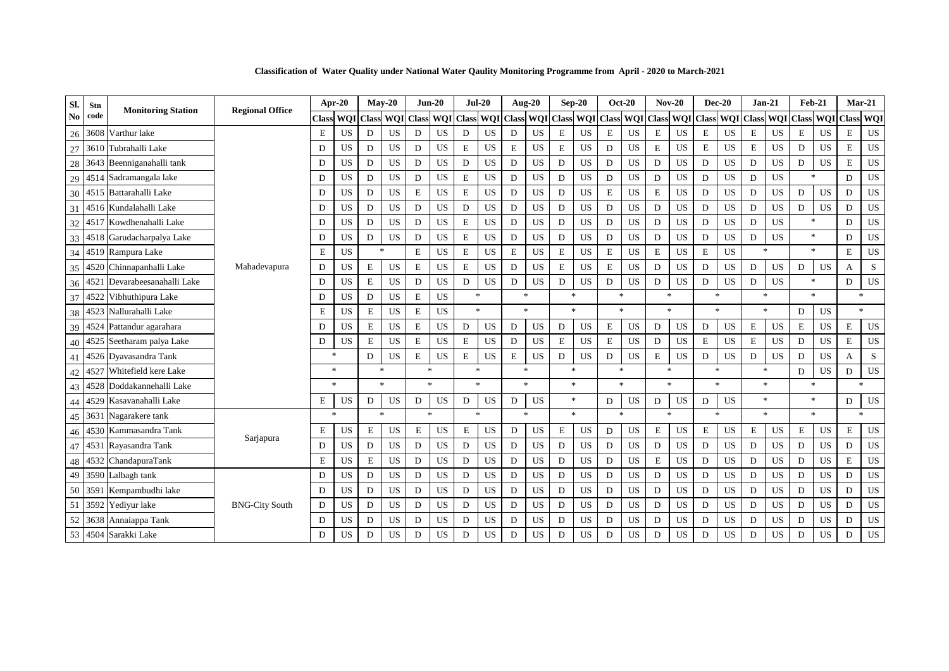**Classification of Water Quality under National Water Qaulity Monitoring Programme from April - 2020 to March-2021**

| Sl.            | Stn  | <b>Monitoring Station</b>    | <b>Regional Office</b> | Apr-20       |           |             | $Mav-20$     |                | $Jun-20$      |                | $Jul-20$   |              | <b>Aug-20</b> |              | $Sep-20$         |                | <b>Oct-20</b> | $Nov-20$         |                | $Dec-20$           |            | $Jan-21$     |            |               | $Feb-21$   | Mar-21                            |     |
|----------------|------|------------------------------|------------------------|--------------|-----------|-------------|--------------|----------------|---------------|----------------|------------|--------------|---------------|--------------|------------------|----------------|---------------|------------------|----------------|--------------------|------------|--------------|------------|---------------|------------|-----------------------------------|-----|
| N <sub>0</sub> | code |                              |                        | <b>Class</b> | WOI       | Class       | <b>WOI</b>   | <b>Class</b>   | <b>WOI</b>    | <b>Class</b>   | <b>WOI</b> | <b>Class</b> | <b>WQI</b>    | <b>Class</b> | WQI              | Class          |               | <b>WOI</b> Class | <b>WOI</b>     | <b>Class</b>       | <b>WOI</b> | <b>Class</b> | <b>WOI</b> | <b>Class</b>  | <b>WQI</b> | <b>Class</b>                      | WQI |
| 26             | 3608 | Varthur lake                 |                        | E            | US        | D           | <b>US</b>    | D              | <b>US</b>     | D              | <b>US</b>  | D            | <b>US</b>     | $\mathbf E$  | US               | E              | <b>US</b>     | Ε                | <b>US</b>      | $\mathbf E$        | US         | $\mathbf E$  | <b>US</b>  | $\mathbf E$   | US         | $\mathbf E$                       | US  |
| 27             | 3610 | Tubrahalli Lake              |                        | D            | US        | D           | <b>US</b>    | D              | <b>US</b>     | E              | <b>US</b>  | E            | <b>US</b>     | $\mathbf E$  | <b>US</b>        | D              | <b>US</b>     | $\mathbf E$      | US             | $\mathbf E$        | US         | $\mathbf E$  | <b>US</b>  | D             | <b>US</b>  | $\mathbf E$                       | US  |
| 28             |      | 3643 Beenniganahalli tank    |                        | D            | US        | $\mathbf D$ | <b>US</b>    | D              | <b>US</b>     | $\mathbf D$    | <b>US</b>  | D            | <b>US</b>     | $\mathbf D$  | <b>US</b>        | D              | <b>US</b>     | D                | <b>US</b>      | $\mathbf D$        | US         | D            | <b>US</b>  | D             | <b>US</b>  | $\mathbf E$                       | US  |
| 29             |      | 4514 Sadramangala lake       |                        | D            | US        | D           | <b>US</b>    | D              | <b>US</b>     | E              | US         | D            | US            | $\mathbf D$  | <b>US</b>        | D              | <b>US</b>     | D                | US             | D                  | US         | D            | <b>US</b>  | $\mathcal{R}$ |            | D                                 | US  |
| 30             |      | 4515 Battarahalli Lake       |                        | D            | US        | $\mathbf D$ | US           | $\mathbf E$    | <b>US</b>     | $\mathbf E$    | US         | D            | US            | $\mathbf D$  | <b>US</b>        | E              | <b>US</b>     | $\mathbf E$      | US             | D                  | US         | $\mathbf D$  | <b>US</b>  | D             | US         | D                                 | US  |
| 31             |      | 4516 Kundalahalli Lake       |                        | D            | US        | D           | <b>US</b>    | D              | <b>US</b>     | $\mathbf D$    | <b>US</b>  | D            | <b>US</b>     | $\mathbf D$  | <b>US</b>        | D              | <b>US</b>     | D                | US             | D                  | US         | $\mathbf D$  | <b>US</b>  | D             | US         | D                                 | US  |
| 32             |      | 4517 Kowdhenahalli Lake      |                        | D            | US        | D           | US           | D              | <b>US</b>     | $\mathbf E$    | <b>US</b>  | D            | <b>US</b>     | $\mathbf D$  | US               | D              | <b>US</b>     | D                | <b>US</b>      | D                  | US         | D            | <b>US</b>  | $\ast$        |            | D                                 | US  |
| 33             |      | 4518 Garudacharpalya Lake    |                        | D            | <b>US</b> | $\mathbf D$ | <b>US</b>    | D              | <b>US</b>     | E              | <b>US</b>  | D            | <b>US</b>     | $\mathbf D$  | <b>US</b>        | D              | <b>US</b>     | D                | <b>US</b>      | $\mathbf D$        | US         | $\mathbf D$  | <b>US</b>  |               | $\ast$     | D                                 | US  |
| 34             |      | 4519 Rampura Lake            |                        | E            | <b>US</b> |             | $\ast$       | E              | <b>US</b>     | E              | US         | E            | US            | $\mathbf E$  | US               | E              | <b>US</b>     | $\mathbf E$      | US             | $\mathbf E$        | US         | $\mathbf{R}$ |            |               | $\ast$     | E                                 | US  |
| 35             |      | 4520 Chinnapanhalli Lake     | Mahadevapura           | D            | <b>US</b> | E           | <b>US</b>    | E              | <b>US</b>     | $\mathbf E$    | <b>US</b>  | D            | <b>US</b>     | E            | <b>US</b>        | E              | <b>US</b>     | D                | <b>US</b>      | D                  | <b>US</b>  | D            | <b>US</b>  | D             | <b>US</b>  | $\overline{A}$                    | S   |
| 36             |      | 4521 Devarabeesanahalli Lake |                        | D            | <b>US</b> | E           | <b>US</b>    | D              | <b>US</b>     | D              | <b>US</b>  | D            | <b>US</b>     | D            | <b>US</b>        | D              | <b>US</b>     | D                | <b>US</b>      | D                  | US         | D            | <b>US</b>  | $\star$       |            | D                                 | US  |
| 37             | 4522 | Vibhuthipura Lake            |                        | D            | US        | D           | <b>US</b>    | $\mathbf E$    | <b>US</b>     | $\mathbf{x}$   |            |              | $\ast$        |              | $\frac{1}{2\pi}$ | $\,$ $\,$ $\,$ |               |                  | $\ast$         | 宋                  |            | $\mathbf{R}$ |            | $\mathbf{R}$  |            | $\mathcal{H}$                     |     |
| 38             |      | 4523 Nallurahalli Lake       |                        | E            | <b>US</b> | E           | <b>US</b>    | $\mathbf E$    | <b>US</b>     | $\ast$         |            |              | $\frac{1}{2}$ |              | $\mathbf{g}_i$   | $\ast$         |               |                  | $\frac{1}{2}$  | <b>Sk</b>          |            | $\ast$       |            | D             | <b>US</b>  | $\frac{1}{2}$                     |     |
|                |      | 39 4524 Pattandur agarahara  |                        | D            | US        | E           | <b>US</b>    | E              | <b>US</b>     | D              | <b>US</b>  | D            | <b>US</b>     | D            | US               | E              | US            | D                | US             | D                  | US         | E            | <b>US</b>  | E             | <b>US</b>  | E                                 | US  |
| 40             |      | 4525 Seetharam palya Lake    |                        | D            | US        | E           | <b>US</b>    | E              | <b>US</b>     | E              | US         | D            | <b>US</b>     | $\mathbf E$  | <b>US</b>        | E              | <b>US</b>     | D                | <b>US</b>      | E                  | US         | E            | <b>US</b>  | D             | <b>US</b>  | $\mathbf E$                       | US  |
| 41             |      | 4526 Dyavasandra Tank        |                        | $\mathbf{x}$ |           | D           | <b>US</b>    | $\mathbf E$    | <b>US</b>     | E              | <b>US</b>  | E            | <b>US</b>     | D            | <b>US</b>        | D              | <b>US</b>     | E                | <b>US</b>      | D                  | US         | D            | <b>US</b>  | D             | US         | A                                 | S   |
| 42             | 4527 | Whitefield kere Lake         |                        | $\ast$       |           |             | $\ast$       | $\frac{1}{2}$  |               | $\ast$         |            |              | $\ast$        |              | 宋                | $\ast$         |               |                  | $\ast$         | 宋                  |            | $\ast$       |            | D             | <b>US</b>  | D                                 | US  |
| 43             |      | 4528 Doddakannehalli Lake    |                        | $\mathbf{R}$ |           |             | $\mathbf{x}$ |                | $\mathcal{R}$ | $\mathbf{x}$   |            |              | $\mathbf{R}$  |              | $\mathbf{g}_i$   |                | $\mathbf{R}$  |                  | $\ast$         | $\dot{\mathbf{x}}$ |            | $\mathbf{R}$ |            | <b>Sk</b>     |            | $\frac{d\mathbf{x}}{d\mathbf{x}}$ |     |
| 44             | 4529 | Kasavanahalli Lake           |                        | E            | US        | D           | US           | D              | <b>US</b>     | D              | US         | D            | US            |              | $\frac{1}{2}$    | D              | US            | D                | US             | D                  | US         | $\ast$       |            | $\ast$        |            | D                                 | US  |
| 45             |      | 3631 Nagarakere tank         |                        | $\mathbf{R}$ |           |             | sk.          | $\frac{1}{20}$ |               | $\,$ $\,$ $\,$ |            |              | ×.            |              | $\mathcal{R}$    | $\,$ $\,$ $\,$ |               |                  | $\frac{1}{26}$ |                    |            | $\ast$       |            | $\mathbf{R}$  |            | $\frac{d\mathbf{x}}{d\mathbf{x}}$ |     |
| 46             |      | 4530 Kammasandra Tank        |                        | E            | US        | E           | US.          | ${\bf E}$      | <b>US</b>     | E              | US         | D            | <b>US</b>     | $\mathbf E$  | US               | D              | <b>US</b>     | $\mathbf E$      | US             | $\mathbf E$        | US         | $\mathbf E$  | <b>US</b>  | E             | <b>US</b>  | $\mathbf E$                       | US  |
| 47             |      | 4531 Rayasandra Tank         | Sarjapura              | D            | <b>US</b> | D           | <b>US</b>    | D              | <b>US</b>     | D              | <b>US</b>  | D            | <b>US</b>     | D            | <b>US</b>        | D              | <b>US</b>     | D                | <b>US</b>      | D                  | US         | D            | <b>US</b>  | D             | <b>US</b>  | D                                 | US  |
| 48             | 4532 | ChandapuraTank               |                        | E            | US        | E           | <b>US</b>    | D              | <b>US</b>     | D              | <b>US</b>  | D            | <b>US</b>     | D            | <b>US</b>        | D              | <b>US</b>     | E                | <b>US</b>      | D                  | <b>US</b>  | D            | <b>US</b>  | D             | <b>US</b>  | E                                 | US  |
| 49             |      | 3590 Lalbagh tank            |                        | D            | US        | D           | <b>US</b>    | D              | <b>US</b>     | D              | US         | D            | <b>US</b>     | D            | <b>US</b>        | D              | <b>US</b>     | D                | <b>US</b>      | D                  | US         | D            | <b>US</b>  | D             | <b>US</b>  | D                                 | US  |
| 50             | 3591 | Kempambudhi lake             |                        | D            | US        | D           | <b>US</b>    | D              | <b>US</b>     | D              | <b>US</b>  | D            | <b>US</b>     | D            | <b>US</b>        | D              | <b>US</b>     | D                | <b>US</b>      | D                  | US         | D            | <b>US</b>  | D             | <b>US</b>  | D                                 | US  |
| 51             | 3592 | Yediyur lake                 | <b>BNG-City South</b>  | D            | US        | D           | <b>US</b>    | D              | <b>US</b>     | D              | US         | D            | <b>US</b>     | $\mathbf D$  | US               | D              | <b>US</b>     | D                | US             | D                  | US         | D            | <b>US</b>  | D             | <b>US</b>  | D                                 | US  |
| 52             | 3638 | Annaiappa Tank               |                        | D            | US        | D           | <b>US</b>    | D              | <b>US</b>     | D              | <b>US</b>  | D            | <b>US</b>     | D            | <b>US</b>        | D              | <b>US</b>     | D                | <b>US</b>      | D                  | US         | D            | <b>US</b>  | D             | <b>US</b>  | D                                 | US  |
|                |      | 53 4504 Sarakki Lake         |                        | D            | US        | D           | <b>US</b>    | D              | <b>US</b>     | D              | US         | D            | <b>US</b>     | D            | <b>US</b>        | D              | <b>US</b>     | D                | US             | D                  | <b>US</b>  | D            | <b>US</b>  | D             | <b>US</b>  | D                                 | US  |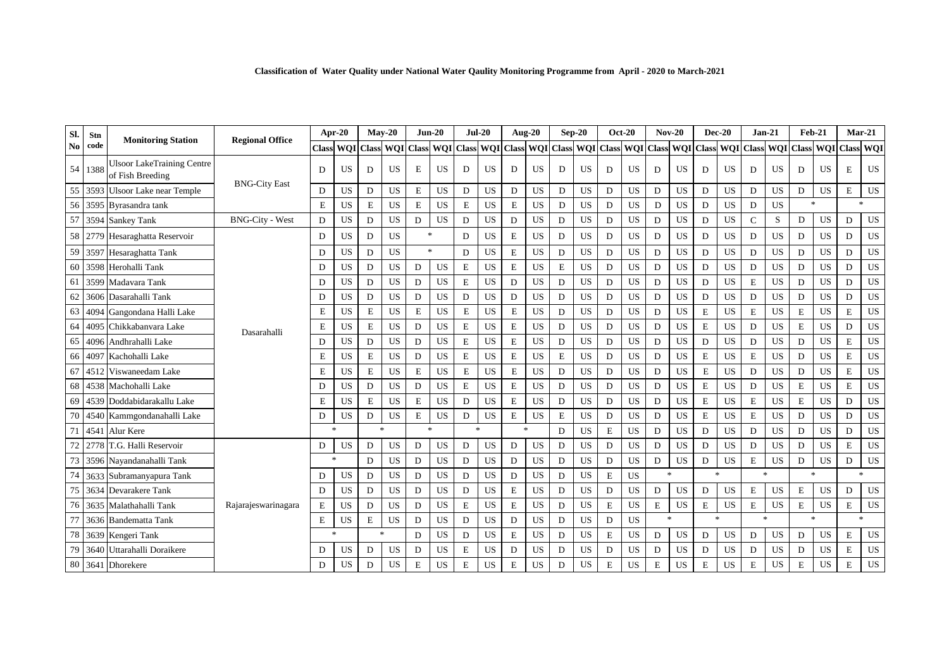| Sl. | Stn     |                                                       |                        | Apr-20       |           |               | $Mav-20$            |                | $Jun-20$  |             | $Jul-20$  |                     | <b>Aug-20</b> |         | $Sep-20$                |   | <b>Oct-20</b> |              | $Nov-20$         |             | $Dec-20$                          |               | $Jan-21$   | <b>Feb-21</b>  |            |              | <b>Mar-21</b>  |
|-----|---------|-------------------------------------------------------|------------------------|--------------|-----------|---------------|---------------------|----------------|-----------|-------------|-----------|---------------------|---------------|---------|-------------------------|---|---------------|--------------|------------------|-------------|-----------------------------------|---------------|------------|----------------|------------|--------------|----------------|
| No  | code    | <b>Monitoring Station</b>                             | <b>Regional Office</b> | <b>Class</b> |           |               | WQI Class WQI Class |                |           |             |           | WQI Class WQI Class |               |         | WQI Class WQI Class WQI |   |               | <b>Class</b> | <b>WQI</b> Class |             | WQI Class WQI                     |               |            | <b>Class</b>   | <b>WQI</b> | <b>Class</b> | WQI            |
|     | 54 1388 | <b>Ulsoor LakeTraining Centre</b><br>of Fish Breeding |                        | D            | US        | D             | US                  | E              | US        | D           | US        | D                   | <b>US</b>     | D       | US                      | D | <b>US</b>     | D            | US               | D           | US                                | D             | <b>US</b>  | D              | US         | E            | <b>US</b>      |
| 55  | 3593    | <b>Ulsoor Lake near Temple</b>                        | <b>BNG-City East</b>   | D            | US        | D             | <b>US</b>           | $\mathbf E$    | <b>US</b> | D           | US        | D                   | <b>US</b>     | D       | <b>US</b>               | D | <b>US</b>     | D            | <b>US</b>        | D           | <b>US</b>                         | D             | <b>US</b>  | D              | <b>US</b>  | $\mathbf E$  | <b>US</b>      |
| 56  |         | 3595 Byrasandra tank                                  |                        | E            | US        | E             | <b>US</b>           | $\mathbf E$    | <b>US</b> | E           | US        | ${\bf E}$           | US            | D       | US                      | D | <b>US</b>     | D            | <b>US</b>        | $\mathbf D$ | US                                | D             | <b>US</b>  | $\ast$         |            |              | $\mathbf{g}_i$ |
| 57  |         | 3594 Sankey Tank                                      | <b>BNG-City - West</b> | D            | <b>US</b> | D             | <b>US</b>           | D              | <b>US</b> | D           | <b>US</b> | D                   | <b>US</b>     | D       | <b>US</b>               | D | <b>US</b>     | D            | <b>US</b>        | D           | US                                | $\mathcal{C}$ | S          | D              | <b>US</b>  | D            | <b>US</b>      |
| 58  |         | 2779 Hesaraghatta Reservoir                           |                        | D            | US        | D             | <b>US</b>           | 宋              |           | D           | <b>US</b> | E                   | <b>US</b>     | D       | <b>US</b>               | D | <b>US</b>     | D            | <b>US</b>        | D           | <b>US</b>                         | D             | US.        | D              | <b>US</b>  | D            | <b>US</b>      |
| 59  |         | 3597 Hesaraghatta Tank                                |                        | D            | <b>US</b> | D             | <b>US</b>           | $\mathbf{g}_i$ |           | D           | US        | E                   | <b>US</b>     | D       | <b>US</b>               | D | <b>US</b>     | D            | <b>US</b>        | D           | US                                | D             | <b>US</b>  | D              | <b>US</b>  | D            | <b>US</b>      |
| 60  |         | 3598 Herohalli Tank                                   |                        | D            | <b>US</b> | D             | US                  | D              | <b>US</b> | $\mathbf E$ | <b>US</b> | $\mathbf E$         | US            | $\bf E$ | US                      | D | <b>US</b>     | $\mathbf D$  | US               | D           | US                                | D             | US         | D              | US         | D            | US             |
| 61  |         | 3599 Madavara Tank                                    |                        | D            | US        | D             | <b>US</b>           | D              | US        | E           | US        | D                   | <b>US</b>     | D       | <b>US</b>               | D | <b>US</b>     | D            | US               | D           | US                                | $\mathbf E$   | <b>US</b>  | D              | <b>US</b>  | D            | <b>US</b>      |
| 62  |         | 3606 Dasarahalli Tank                                 |                        | D            | <b>US</b> | D             | <b>US</b>           | D              | <b>US</b> | D           | <b>US</b> | D                   | <b>US</b>     | D       | <b>US</b>               | D | <b>US</b>     | D            | <b>US</b>        | D           | <b>US</b>                         | D             | <b>US</b>  | D              | <b>US</b>  | D            | <b>US</b>      |
| 63  | 4094    | Gangondana Halli Lake                                 |                        | E            | US        | E             | <b>US</b>           | $\mathbf E$    | <b>US</b> | E           | <b>US</b> | $\mathbf E$         | <b>US</b>     | D       | <b>US</b>               | D | <b>US</b>     | D            | <b>US</b>        | E           | <b>US</b>                         | E             | <b>US</b>  | E              | <b>US</b>  | E            | <b>US</b>      |
| 64  | 4095    | Chikkabanyara Lake                                    | Dasarahalli            | E            | <b>US</b> | E             | <b>US</b>           | D              | <b>US</b> | $\mathbf E$ | <b>US</b> | $\mathbf E$         | <b>US</b>     | D       | <b>US</b>               | D | <b>US</b>     | D            | <b>US</b>        | $\mathbf E$ | <b>US</b>                         | D             | <b>US</b>  | E              | <b>US</b>  | D            | US             |
| 65  |         | 4096 Andhrahalli Lake                                 |                        | D            | US        | D             | <b>US</b>           | D              | <b>US</b> | $\mathbf E$ | US        | $\mathbf E$         | <b>US</b>     | D       | <b>US</b>               | D | <b>US</b>     | D            | <b>US</b>        | D           | US                                | D             | <b>US</b>  | D              | <b>US</b>  | $\mathbf E$  | <b>US</b>      |
| 66  | 409     | Kachohalli Lake                                       |                        | E            | <b>US</b> | E             | <b>US</b>           | D              | <b>US</b> | $\mathbf E$ | <b>US</b> | $\mathbf E$         | <b>US</b>     | $\bf E$ | <b>US</b>               | D | <b>US</b>     | D            | <b>US</b>        | $\mathbf E$ | <b>US</b>                         | E             | <b>US</b>  | D              | <b>US</b>  | $\mathbf E$  | <b>US</b>      |
| 67  | 4512    | Viswaneedam Lake                                      |                        | E            | US        | E             | <b>US</b>           | $\mathbf E$    | <b>US</b> | E           | <b>US</b> | $\mathbf E$         | <b>US</b>     | D       | <b>US</b>               | D | <b>US</b>     | D            | <b>US</b>        | $\mathbf E$ | <b>US</b>                         | D             | <b>US</b>  | D              | <b>US</b>  | $\mathbf E$  | <b>US</b>      |
| 68  |         | 4538 Machohalli Lake                                  |                        | D            | US        | D             | <b>US</b>           | D              | <b>US</b> | $\mathbf E$ | <b>US</b> | $\mathbf E$         | <b>US</b>     | D       | <b>US</b>               | D | <b>US</b>     | D            | <b>US</b>        | $\mathbf E$ | <b>US</b>                         | D             | <b>US</b>  | E              | <b>US</b>  | $\mathbf E$  | <b>US</b>      |
| 69  | 4539    | Doddabidarakallu Lake                                 |                        | E            | US        | E             | <b>US</b>           | $\mathbf E$    | <b>US</b> | D           | <b>US</b> | E                   | <b>US</b>     | D       | <b>US</b>               | D | <b>US</b>     | D            | US               | E           | US                                | $\mathbf E$   | US.        | E              | <b>US</b>  | D            | <b>US</b>      |
| 70  | 4540    | Kammgondanahalli Lake                                 |                        | D            | US        | D             | <b>US</b>           | $\mathbf E$    | <b>US</b> | D           | US        | $\mathbf E$         | <b>US</b>     | E       | <b>US</b>               | D | <b>US</b>     | D            | <b>US</b>        | E           | <b>US</b>                         | $\mathbf E$   | <b>US</b>  | D              | <b>US</b>  | D            | <b>US</b>      |
| 71  | 454     | Alur Kere                                             |                        | <b>sk</b>    |           | $\mathcal{R}$ |                     | ×.             |           | $\star$     |           | $\ast$              |               | D       | <b>US</b>               | E | <b>US</b>     | D            | <b>US</b>        | D           | <b>US</b>                         | D             | <b>US</b>  | D              | <b>US</b>  | D            | <b>US</b>      |
| 72  |         | T.G. Halli Reservoir                                  |                        | D            | <b>US</b> | D             | <b>US</b>           | D              | US        | D           | US        | D                   | <b>US</b>     | D       | <b>US</b>               | D | <b>US</b>     | D            | <b>US</b>        | D           | <b>US</b>                         | D             | <b>US</b>  | D              | <b>US</b>  | $\mathbf E$  | US             |
| 73  |         | 3596 Navandanahalli Tank                              |                        | $\star$      |           | D             | <b>US</b>           | D              | <b>US</b> | D           | <b>US</b> | D                   | <b>US</b>     | D       | <b>US</b>               | D | <b>US</b>     | D            | <b>US</b>        | D           | US                                | $\mathbf E$   | US.        | D              | <b>US</b>  | D            | <b>US</b>      |
| 74  | 3633    | Subramanyapura Tank                                   |                        | D            | <b>US</b> | D             | US                  | D              | <b>US</b> | D           | <b>US</b> | D                   | <b>US</b>     | D       | <b>US</b>               | E | <b>US</b>     | <b>A</b>     |                  |             | $\frac{d\mathbf{x}}{d\mathbf{x}}$ |               | $\Delta t$ | $\frac{1}{20}$ |            |              | $\mathcal{R}$  |
| 75  | 3634    | Devarakere Tank                                       |                        | D            | US        | D             | <b>US</b>           | D              | <b>US</b> | D           | <b>US</b> | $\mathbf E$         | <b>US</b>     | D       | <b>US</b>               | D | <b>US</b>     | D            | US               | D           | US                                | $\mathbf E$   | <b>US</b>  | $\mathbf E$    | <b>US</b>  | D            | <b>US</b>      |
| 76  | 3635    | Malathahalli Tank                                     | Rajarajeswarinagara    | $\mathbf E$  | US        | D             | <b>US</b>           | D              | <b>US</b> | $\mathbf E$ | <b>US</b> | $\mathbf E$         | <b>US</b>     | D       | <b>US</b>               | E | <b>US</b>     | $\mathbf E$  | <b>US</b>        | E           | US                                | $\mathbf E$   | <b>US</b>  | $\mathbf E$    | <b>US</b>  | $\mathbf E$  | US             |
| 77  |         | 3636 Bandematta Tank                                  |                        | E            | US        | E             | <b>US</b>           | D              | <b>US</b> | D           | <b>US</b> | D                   | <b>US</b>     | D       | <b>US</b>               | D | <b>US</b>     | 米            |                  |             | $\frac{d\mathbf{x}}{d\mathbf{x}}$ |               | $\ast$     | $\frac{1}{20}$ |            |              | $\mathcal{R}$  |
| 78  |         | 3639 Kengeri Tank                                     |                        | <b>sk</b>    |           |               | $\frac{1}{2}$       | D              | US        | D           | US        | $\mathbf E$         | <b>US</b>     | D       | <b>US</b>               | E | <b>US</b>     | D            | US               | D           | US                                | D             | <b>US</b>  | D              | <b>US</b>  | E            | US             |
| 79  |         | 3640 Uttarahalli Doraikere                            |                        | D            | US        | D             | <b>US</b>           | D              | <b>US</b> | $\mathbf E$ | US        | D                   | <b>US</b>     | D       | <b>US</b>               | D | <b>US</b>     | D            | <b>US</b>        | D           | <b>US</b>                         | D             | <b>US</b>  | D              | <b>US</b>  | $\mathbf E$  | US             |
|     |         | 80 3641 Dhorekere                                     |                        | D            | <b>US</b> | D             | <b>US</b>           | E              | <b>US</b> | $\mathbf E$ | US        | E                   | <b>US</b>     | D       | <b>US</b>               | E | <b>US</b>     | E            | <b>US</b>        | E           | <b>US</b>                         | E             | <b>US</b>  | E              | <b>US</b>  | $\mathbf E$  | US             |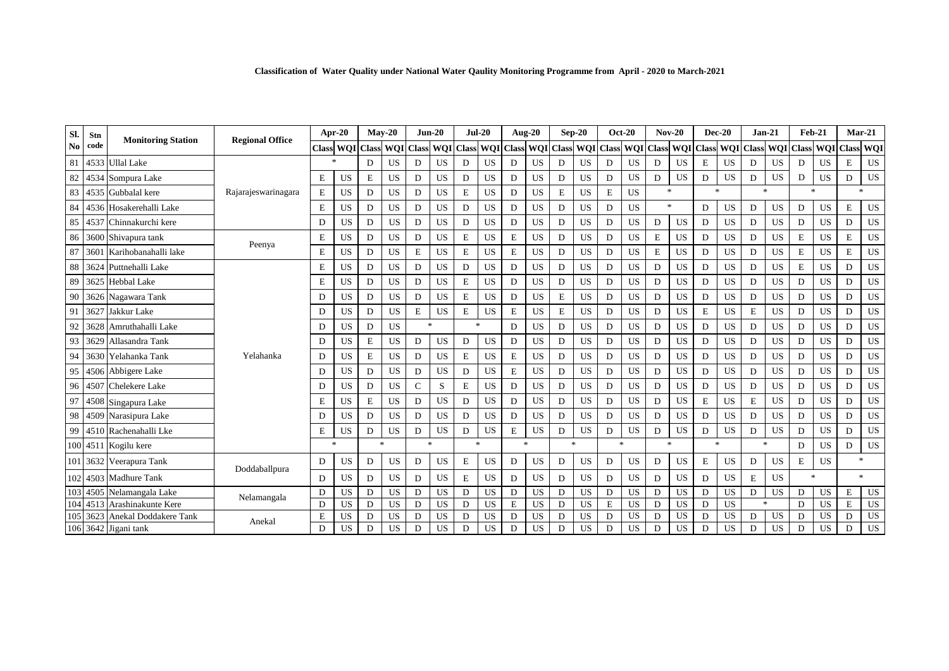| Classification of Water Quality under National Water Qaulity Monitoring Programme from April - 2020 to March-2021 |  |  |  |  |  |  |  |  |  |  |  |
|-------------------------------------------------------------------------------------------------------------------|--|--|--|--|--|--|--|--|--|--|--|
|-------------------------------------------------------------------------------------------------------------------|--|--|--|--|--|--|--|--|--|--|--|

| Sl.            | Stn        |                           | <b>Regional Office</b> | Apr-20       |            | $May-20$ |            |              | $Jun-20$                          |              | $Jul-20$   |             | Aug-20        |              | $Sep-20$   |              | <b>Oct-20</b> |               | $Nov-20$   |              | $Dec-20$  | $Jan-21$             |           | <b>Feb-21</b> |            | $Mar-21$         |              |
|----------------|------------|---------------------------|------------------------|--------------|------------|----------|------------|--------------|-----------------------------------|--------------|------------|-------------|---------------|--------------|------------|--------------|---------------|---------------|------------|--------------|-----------|----------------------|-----------|---------------|------------|------------------|--------------|
| N <sub>0</sub> | code       | <b>Monitoring Station</b> |                        | <b>Class</b> | <b>WOI</b> | Class    | <b>WOI</b> | <b>Class</b> | <b>WOI</b>                        | <b>Class</b> | <b>WOI</b> |             | Class WOI     | <b>Class</b> | <b>WOI</b> | <b>Class</b> | <b>WOI</b>    | <b>Class</b>  | <b>WOI</b> | <b>Class</b> |           | <b>WOI</b> Class WOI |           | <b>Class</b>  | <b>WOI</b> | <b>Class WQI</b> |              |
| 81             |            | 4533 Ullal Lake           |                        |              |            | D        | <b>US</b>  | D            | <b>US</b>                         | D            | <b>US</b>  | D           | <b>US</b>     | D            | <b>US</b>  | D            | <b>US</b>     | D             | <b>US</b>  | $\mathbf E$  | <b>US</b> | D                    | <b>US</b> | D             | <b>US</b>  | E                | US           |
| 82             |            | 4534 Sompura Lake         |                        | $\mathbf E$  | US         | E        | <b>US</b>  | D            | <b>US</b>                         | D            | <b>US</b>  | D           | <b>US</b>     | D            | <b>US</b>  | D            | <b>US</b>     | D             | <b>US</b>  | D            | <b>US</b> | D                    | <b>US</b> | D             | <b>US</b>  | D                | <b>US</b>    |
| 83             |            | 4535 Gubbalal kere        | Rajarajeswarinagara    | $\mathbf E$  | US         | D        | US         | D            | <b>US</b>                         | E            | US         | D           | US            | ${\bf E}$    | US         | E            | <b>US</b>     | $\mathbf{k}$  |            | sk.          |           | $\frac{1}{2}$        |           | $\mathbf{k}$  |            | $\frac{d}{dt}$   |              |
| 84             |            | 4536 Hosakerehalli Lake   |                        | $\mathbf E$  | US         | D        | <b>US</b>  | D            | <b>US</b>                         | D            | <b>US</b>  | D           | <b>US</b>     | D            | US         | D            | <b>US</b>     |               | $\ast$     | D            | US        | D                    | <b>US</b> | D             | US         | E                | US           |
| 85             |            | 4537 Chinnakurchi kere    |                        | D            | US         | D        | <b>US</b>  | D            | <b>US</b>                         | D            | <b>US</b>  | D           | <b>US</b>     | D            | US         | D            | <b>US</b>     | D             | <b>US</b>  | D            | <b>US</b> | D                    | <b>US</b> | D             | <b>US</b>  | D                | US           |
| 86             |            | 3600 Shivapura tank       |                        | E            | US         | D        | <b>US</b>  | D            | <b>US</b>                         | E            | <b>US</b>  | E           | <b>US</b>     | D            | US         | D            | <b>US</b>     | E             | US         | D            | US        | D                    | <b>US</b> | E             | <b>US</b>  | $\mathbf E$      | US           |
| 87             |            | 3601 Karihobanahalli lake | Peenya                 | $\mathbf E$  | US         | D        | <b>US</b>  | $\mathbf E$  | <b>US</b>                         | E            | <b>US</b>  | $\mathbf E$ | <b>US</b>     | D            | <b>US</b>  | D            | <b>US</b>     | $\mathbf E$   | US         | D            | US        | D                    | <b>US</b> | E             | <b>US</b>  | E                | US           |
| 88             |            | 3624 Puttnehalli Lake     |                        | $\mathbf E$  | US         | D        | <b>US</b>  | $\mathbf D$  | <b>US</b>                         | D            | <b>US</b>  | D           | <b>US</b>     | D            | <b>US</b>  | D            | US            | D             | <b>US</b>  | D            | US        | D                    | US        | E             | <b>US</b>  | D                | <b>US</b>    |
| 89             |            | 3625 Hebbal Lake          |                        | $\mathbf E$  | US         | D        | <b>US</b>  | D            | <b>US</b>                         | E            | <b>US</b>  | D           | <b>US</b>     | D            | <b>US</b>  | D            | <b>US</b>     | D             | <b>US</b>  | D            | <b>US</b> | D                    | <b>US</b> | D             | <b>US</b>  | D                | <b>US</b>    |
| 90             |            | 3626 Nagawara Tank        |                        | D            | US         | D        | <b>US</b>  | D            | <b>US</b>                         | E            | <b>US</b>  | D           | <b>US</b>     | E            | US         | D            | <b>US</b>     | D             | <b>US</b>  | D            | <b>US</b> | D                    | <b>US</b> | D             | <b>US</b>  | D                | US           |
| 91             |            | 3627 Jakkur Lake          |                        | D            | <b>US</b>  | D        | <b>US</b>  | E            | <b>US</b>                         | E            | <b>US</b>  | E           | <b>US</b>     | E            | <b>US</b>  | D            | <b>US</b>     | D             | <b>US</b>  | $\mathbf E$  | US        | E                    | <b>US</b> | D             | <b>US</b>  | D                | US           |
| 92             | 3628       | Amruthahalli Lake         |                        | D            | <b>US</b>  | D        | <b>US</b>  |              | $\frac{d\mathbf{x}}{d\mathbf{x}}$ | $\ast$       |            | D           | <b>US</b>     | D            | <b>US</b>  | D            | <b>US</b>     | D             | <b>US</b>  | D            | <b>US</b> | D                    | <b>US</b> | D             | <b>US</b>  | D                | <b>US</b>    |
| 93             | 3629       | Allasandra Tank           |                        | D            | <b>US</b>  | E        | <b>US</b>  | D            | <b>US</b>                         | D            | <b>US</b>  | D           | <b>US</b>     | D            | US         | D            | <b>US</b>     | D             | <b>US</b>  | D            | US        | D                    | <b>US</b> | D             | <b>US</b>  | D                | US           |
| 94             | 3630       | Yelahanka Tank            | Yelahanka              | D            | US         | E        | <b>US</b>  | D            | <b>US</b>                         | E            | <b>US</b>  | E           | US            | D            | US         | D            | <b>US</b>     | D             | <b>US</b>  | D            | <b>US</b> | D                    | <b>US</b> | D             | <b>US</b>  | D                | US           |
| 95             |            | 4506 Abbigere Lake        |                        | D            | US         | D        | <b>US</b>  | D            | <b>US</b>                         | D            | <b>US</b>  | E           | US            | D            | <b>US</b>  | D            | <b>US</b>     | D             | <b>US</b>  | D            | <b>US</b> | D                    | <b>US</b> | D             | <b>US</b>  | D                | <b>US</b>    |
| 96             |            | 4507 Chelekere Lake       |                        | D            | <b>US</b>  | D        | <b>US</b>  | $\mathsf{C}$ | S                                 | E            | <b>US</b>  | D           | <b>US</b>     | D            | US         | D            | <b>US</b>     | D             | <b>US</b>  | D            | US        | D                    | <b>US</b> | D             | <b>US</b>  | D                | US           |
| 97             |            | 4508 Singapura Lake       |                        | $\mathbf E$  | US         | E        | <b>US</b>  | D            | <b>US</b>                         | D            | <b>US</b>  | D           | US            | D            | US         | D            | <b>US</b>     | D             | <b>US</b>  | $\mathbf E$  | <b>US</b> | E                    | <b>US</b> | D             | <b>US</b>  | D                | US           |
| 98             |            | 4509 Narasipura Lake      |                        | D            | <b>US</b>  | D        | <b>US</b>  | D            | <b>US</b>                         | D            | <b>US</b>  | D           | <b>US</b>     | D            | <b>US</b>  | D            | <b>US</b>     | D             | <b>US</b>  | D            | <b>US</b> | D                    | US        | D             | <b>US</b>  | D                | US           |
| 99             |            | 4510 Rachenahalli Lke     |                        | E            | US         | D        | <b>US</b>  | D            | <b>US</b>                         | D            | <b>US</b>  | E           | <b>US</b>     | D            | US         | D            | <b>US</b>     | D             | <b>US</b>  | D            | <b>US</b> | D                    | <b>US</b> | D             | <b>US</b>  | D                | <b>US</b>    |
|                |            | 100 4511 Kogilu kere      |                        | $\ast$       |            | sk.      |            |              | $\frac{d\mathbf{x}}{d\mathbf{x}}$ | $\mathbf{x}$ |            |             | $\frac{1}{2}$ | 大            |            | $\mathbf{x}$ |               | $\mathcal{A}$ |            |              | sk.       | $\ast$               |           | D             | US         | D                | US           |
|                |            | 101 3632 Veerapura Tank   |                        | D            | US         | D        | <b>US</b>  | D            | <b>US</b>                         | $\mathbf E$  | <b>US</b>  | D           | <b>US</b>     | D            | US         | D            | <b>US</b>     | D             | <b>US</b>  | $\mathbf E$  | <b>US</b> | D                    | <b>US</b> | $\mathbf E$   | <b>US</b>  |                  | $\mathbf{R}$ |
|                |            | 102 4503 Madhure Tank     | Doddaballpura          | D            | US         | D        | <b>US</b>  | D            | <b>US</b>                         | $\mathbf E$  | <b>US</b>  | D           | <b>US</b>     | D            | <b>US</b>  | D            | <b>US</b>     | D             | <b>US</b>  | D            | <b>US</b> | E                    | <b>US</b> | $\mathbf{k}$  |            |                  | $\mathbf{R}$ |
|                | 103 4505   | Nelamangala Lake          | Nelamangala            | D            | <b>US</b>  | D        | <b>US</b>  | D            | <b>US</b>                         | D            | <b>US</b>  | D           | <b>US</b>     | D            | <b>US</b>  | D            | <b>US</b>     | D             | <b>US</b>  | D            | <b>US</b> | D                    | <b>US</b> | D             | <b>US</b>  | E                | US           |
| 104            | $45^\circ$ | Arashinakunte Kere        |                        | D            | <b>US</b>  | D        | <b>US</b>  | D            | <b>US</b>                         | D            | <b>US</b>  | $\mathbf E$ | <b>US</b>     | D            | <b>US</b>  | $\mathbf E$  | <b>US</b>     | D             | <b>US</b>  | D            | <b>US</b> | $\ast$               |           | D             | <b>US</b>  | $\mathbf E$      | US           |
| 105            | 3623       | Anekal Doddakere Tank     | Anekal                 | $\mathbf E$  | US         | D        | <b>US</b>  | $\mathbf D$  | <b>US</b>                         | D            | <b>US</b>  | D           | US            | D            | US         | D            | <b>US</b>     | D             | <b>US</b>  | D            | <b>US</b> | D                    | <b>US</b> | D             | <b>US</b>  | D                | US           |
|                |            | 106 3642 Jigani tank      |                        | D            | <b>US</b>  | D        | <b>US</b>  | D            | <b>US</b>                         | D            | <b>US</b>  | D           | US            | D            | US         | D            | <b>US</b>     | D             | <b>US</b>  | D            | <b>US</b> | D                    | <b>US</b> | D             | <b>US</b>  | D                | US           |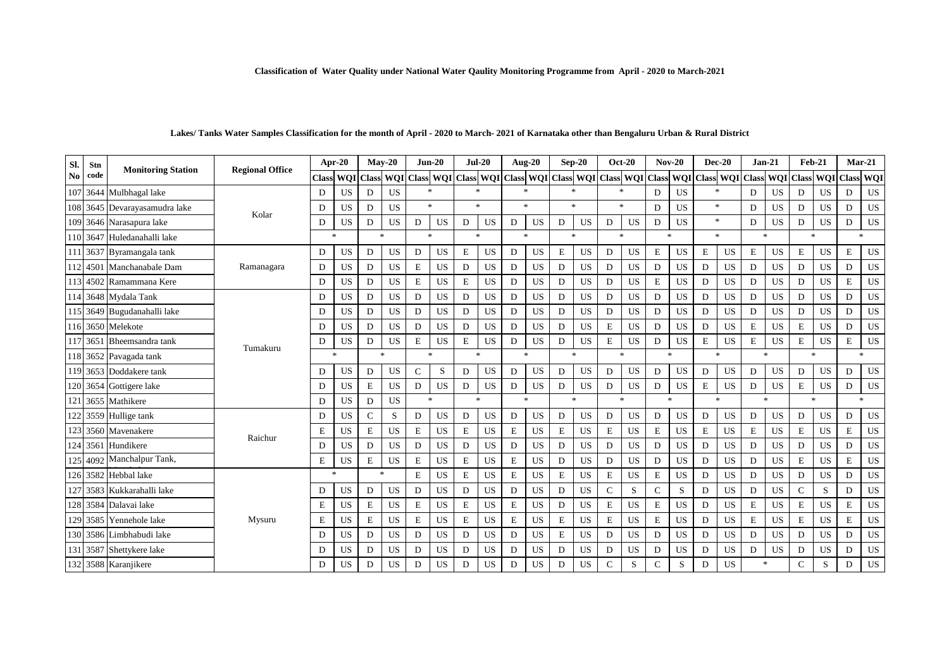| SI.            | Stn      |                               |                        |              | Apr-20           |              | $Mav-20$   |                    | $Jun-20$   | $Jul-20$     |           |                     | <b>Aug-20</b>  |               | $Sep-20$                  |              | $Oct-20$      |                | $Nov-20$     |                | $Dec-20$                | $Jan-21$      |           | <b>Feb-21</b> |               | $Mar-21$      |             |
|----------------|----------|-------------------------------|------------------------|--------------|------------------|--------------|------------|--------------------|------------|--------------|-----------|---------------------|----------------|---------------|---------------------------|--------------|---------------|----------------|--------------|----------------|-------------------------|---------------|-----------|---------------|---------------|---------------|-------------|
| N <sub>0</sub> | code     | <b>Monitoring Station</b>     | <b>Regional Office</b> | <b>Class</b> | <b>WOI</b>       | <b>Class</b> | <b>WOI</b> | <b>Class</b>       | <b>WOI</b> |              |           | Class WQI Class WQI |                |               | Class WOI Class WOI Class |              |               |                |              |                | WQI Class WQI Class WQI |               |           | <b>Class</b>  | <b>WOI</b>    | <b>Class</b>  | WQI         |
|                |          | 107 3644 Mulbhagal lake       |                        | D            | <b>US</b>        | D            | <b>US</b>  |                    |            | $\ast$       |           |                     |                |               | $\frac{1}{2}$             | $\star$      |               | D              | <b>US</b>    | $\frac{1}{20}$ |                         | D             | US.       | D             | <b>US</b>     | D             | <b>US</b>   |
|                |          | 108 3645 Devarayasamudra lake | Kolar                  | D            | US               | D            | <b>US</b>  | $\mathbf{g}_i$     |            | $\mathbf{k}$ |           |                     | $\ast$         |               | $\mathbf{g}_i$            |              | $\frac{1}{2}$ | D              | <b>US</b>    | $\frac{1}{2}$  |                         | D             | <b>US</b> | D             | <b>US</b>     | D             | <b>US</b>   |
| 109            |          | 3646 Narasapura lake          |                        | D            | <b>US</b>        | D            | <b>US</b>  | D                  | <b>US</b>  | D            | US        | D                   | US             | D             | <b>US</b>                 | D            | US            | D              | <b>US</b>    |                | $\ast$                  | D             | <b>US</b> | D             | US            | D             | <b>US</b>   |
|                |          | 110 3647 Huledanahalli lake   |                        |              | $\ast$           | $\ast$       |            | $\mathcal{H}$      |            | $\ast$       |           |                     | $\frac{1}{2}$  | $\frac{1}{2}$ |                           |              | $\frac{1}{2}$ |                | $\mathbf{R}$ | $\gg$          |                         | $\mathbf{x}$  |           | $\star$       |               | $\mathcal{R}$ |             |
|                |          | 111 3637 Byramangala tank     |                        | D            | US               | D            | <b>US</b>  | D                  | <b>US</b>  | E            | <b>US</b> | D                   | US             | $\mathbf E$   | <b>US</b>                 | D            | <b>US</b>     | $\mathbf E$    | US           | $\mathbf E$    | US                      | $\mathbf E$   | <b>US</b> | E             | US            | $\mathbf E$   | US          |
|                | 112 4501 | Manchanabale Dam              | Ramanagara             | D            | US               | D            | <b>US</b>  | E                  | <b>US</b>  | D            | <b>US</b> | D                   | US             | D             | <b>US</b>                 | D            | US            | D              | <b>US</b>    | D              | US                      | D             | <b>US</b> | D             | <b>US</b>     | D             | <b>US</b>   |
|                |          | 113 4502 Ramammana Kere       |                        | D            | <b>US</b>        | D            | <b>US</b>  | E                  | <b>US</b>  | E            | US        | D                   | US             | D             | <b>US</b>                 | $\mathbf D$  | US            | $\mathbf E$    | US           | $\mathbf D$    | US                      | D             | <b>US</b> | D             | <b>US</b>     | $\mathbf E$   | $_{\rm US}$ |
|                |          | 114 3648 Mydala Tank          |                        | D            | US               | D            | <b>US</b>  | D                  | <b>US</b>  | D            | <b>US</b> | D                   | US             | D             | <b>US</b>                 | D            | US            | D              | <b>US</b>    | D              | <b>US</b>               | D             | <b>US</b> | D             | <b>US</b>     | D             | <b>US</b>   |
|                |          | 115 3649 Bugudanahalli lake   |                        | D            | US               | D            | US         | D                  | <b>US</b>  | D            | US        | D                   | US             | D             | $_{\rm US}$               | D            | US            | D              | US           | D              | US                      | D             | <b>US</b> | D             | US            | $\mathbf D$   | $_{\rm US}$ |
|                |          | 116 3650 Melekote             |                        | D            | <b>US</b>        | D            | <b>US</b>  | D                  | <b>US</b>  | D            | US        | D                   | <b>US</b>      | D             | <b>US</b>                 | E            | US            | D              | <b>US</b>    | D              | <b>US</b>               | E             | <b>US</b> | E             | <b>US</b>     | D             | <b>US</b>   |
|                | 117 3651 | Bheemsandra tank              | Tumakuru               | D            | <b>US</b>        | D            | <b>US</b>  | $\mathbf E$        | <b>US</b>  | E            | <b>US</b> | D                   | <b>US</b>      | D             | <b>US</b>                 | $\mathbf E$  | US            | D              | <b>US</b>    | $\mathbf E$    | US                      | $\mathbf E$   | <b>US</b> | E             | <b>US</b>     | $\mathbf E$   | <b>US</b>   |
|                |          | 118 3652 Pavagada tank        |                        |              | $\frac{1}{2\pi}$ |              | $\ast$     | $\dot{\mathbf{x}}$ |            |              | $*$       |                     | $\star$        |               | $\ast$                    | $\mathbf{x}$ |               | $\lambda$      |              |                | ź.                      | $\star$       |           |               | $\ast$        | $\ast$        |             |
|                |          | 119 3653 Doddakere tank       |                        | D            | <b>US</b>        | D            | <b>US</b>  | $\mathsf{C}$       | S          | D            | <b>US</b> | D                   | US             | D             | <b>US</b>                 | D            | US            | D              | US           | D              | US                      | D             | <b>US</b> | D             | <b>US</b>     | D             | US          |
|                |          | 120 3654 Gottigere lake       |                        | D            | <b>US</b>        | E            | <b>US</b>  | D                  | <b>US</b>  | D            | <b>US</b> | D                   | US             | D             | <b>US</b>                 | D            | <b>US</b>     | D              | US           | $\mathbf E$    | US                      | D             | <b>US</b> | E             | <b>US</b>     | D             | US          |
|                |          | 121 3655 Mathikere            |                        | D            | US               | D            | <b>US</b>  | 宋                  |            |              | $\ast$    |                     | $\frac{1}{20}$ |               | $\frac{1}{20}$            | $\mathbf{x}$ |               | $\frac{1}{26}$ |              |                | 永                       | $\star$       |           |               | $\frac{1}{2}$ | $\gg$         |             |
|                |          | 122 3559 Hullige tank         |                        | D            | US               | $\mathsf{C}$ | S          | D                  | US         | D            | <b>US</b> | D                   | <b>US</b>      | D             | <b>US</b>                 | D            | <b>US</b>     | D              | US           | D              | US                      | D             | <b>US</b> | D             | <b>US</b>     | D             | US          |
|                |          | 123 3560 Mavenakere           | Raichur                | E            | US               | E            | <b>US</b>  | $\mathbf E$        | <b>US</b>  | E            | <b>US</b> | E                   | US             | $\mathbf E$   | <b>US</b>                 | E            | <b>US</b>     | $\mathbf E$    | <b>US</b>    | $\mathbf E$    | <b>US</b>               | E             | <b>US</b> | E             | <b>US</b>     | $\mathbf E$   | <b>US</b>   |
|                |          | 124 3561 Hundikere            |                        | D            | US               | D            | <b>US</b>  | D                  | <b>US</b>  | D            | <b>US</b> | D                   | US             | D             | <b>US</b>                 | D            | US            | D              | US           | D              | US                      | D             | <b>US</b> | D             | <b>US</b>     | D             | US          |
|                |          | 125 4092 Manchalpur Tank,     |                        | E            | US               | E            | <b>US</b>  | E                  | <b>US</b>  | E            | <b>US</b> | E                   | <b>US</b>      | D             | <b>US</b>                 | D            | US            | D              | <b>US</b>    | D              | US                      | D             | <b>US</b> | E             | <b>US</b>     | $\mathbf E$   | <b>US</b>   |
|                |          | 126 3582 Hebbal lake          |                        |              | 冰                | $\ast$       |            | E                  | <b>US</b>  | E            | US        | E                   | US             | E             | <b>US</b>                 | E            | <b>US</b>     | E              | <b>US</b>    | D              | <b>US</b>               | D             | <b>US</b> | D             | <b>US</b>     | D             | <b>US</b>   |
|                |          | 127 3583 Kukkarahalli lake    |                        | D            | <b>US</b>        | D            | <b>US</b>  | D                  | <b>US</b>  | D            | <b>US</b> | D                   | <b>US</b>      | D             | <b>US</b>                 | $\mathsf{C}$ | S             | C              | S            | D              | US                      | D             | <b>US</b> | $\mathsf{C}$  | S             | D             | $_{\rm US}$ |
|                |          | 128 3584 Dalavai lake         |                        | E            | <b>US</b>        | E            | <b>US</b>  | E                  | <b>US</b>  | E            | US        | E                   | <b>US</b>      | D             | <b>US</b>                 | E            | US            | E              | <b>US</b>    | D              | US                      | $\mathbf E$   | <b>US</b> | E             | <b>US</b>     | $\mathbf E$   | US          |
| 129            | 3585     | Yennehole lake                | Mysuru                 | E            | <b>US</b>        | E            | <b>US</b>  | E                  | <b>US</b>  | E            | <b>US</b> | E                   | <b>US</b>      | E             | <b>US</b>                 | E            | <b>US</b>     | E              | <b>US</b>    | D              | <b>US</b>               | E             | <b>US</b> | E             | <b>US</b>     | $\mathbf E$   | <b>US</b>   |
|                |          | 130 3586 Limbhabudi lake      |                        | D            | US               | D            | <b>US</b>  | D                  | <b>US</b>  | D            | US        | D                   | US             | Е             | <b>US</b>                 | D            | US            | D              | US           | D              | US                      | D             | <b>US</b> | D             | <b>US</b>     | D             | US          |
|                |          | 131 3587 Shettykere lake      |                        | D            | US               | D            | <b>US</b>  | D                  | <b>US</b>  | D            | US        | D                   | <b>US</b>      | D             | <b>US</b>                 | D            | <b>US</b>     | D              | <b>US</b>    | D              | <b>US</b>               | D             | <b>US</b> | D             | <b>US</b>     | D             | US          |
|                |          | 132 3588 Karanjikere          |                        | D            | US               | D            | <b>US</b>  | D                  | US         | D            | <b>US</b> | D                   | <b>US</b>      | D             | <b>US</b>                 | C            | S             | C              | S            | D              | <b>US</b>               | $\mathcal{R}$ |           | $\mathsf{C}$  | S             | D             | <b>US</b>   |

### **Lakes/ Tanks Water Samples Classification for the month of April - 2020 to March- 2021 of Karnataka other than Bengaluru Urban & Rural District**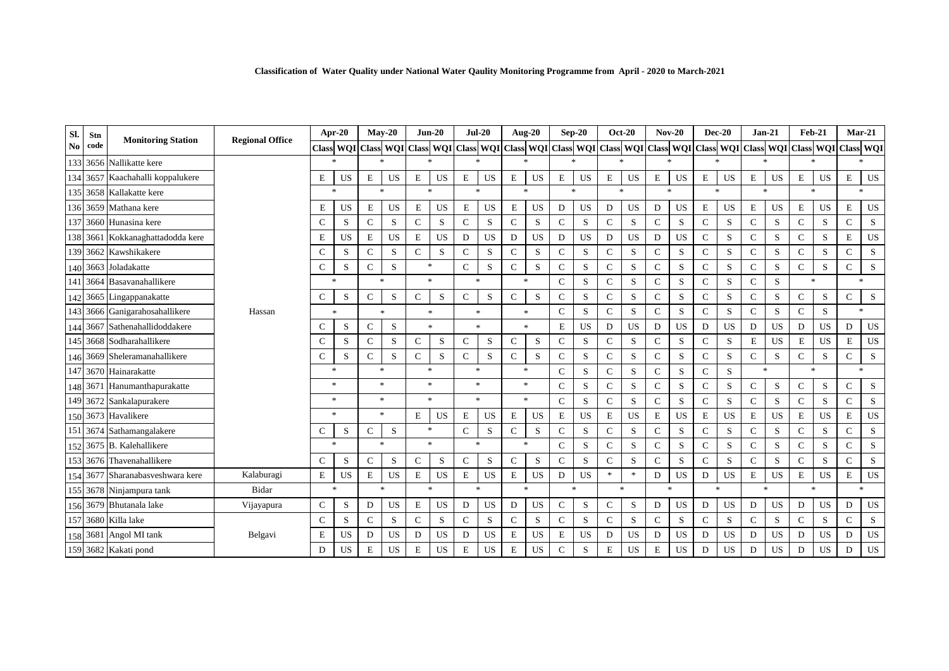| Classification of Water Quality under National Water Qaulity Monitoring Programme from April - 2020 to March-2021 |  |  |  |  |  |  |  |  |  |  |  |
|-------------------------------------------------------------------------------------------------------------------|--|--|--|--|--|--|--|--|--|--|--|
|-------------------------------------------------------------------------------------------------------------------|--|--|--|--|--|--|--|--|--|--|--|

| Sl.            | Stn      |                                  |                        | Apr-20           |                  | $Mav-20$      |                  | $Jun-20$                          |                | $Jul-20$      |           | Aug-20        |                | $Sep-20$       |                                                                                                     | <b>Oct-20</b> |                  | $Nov-20$      |               | $Dec-20$          |             | $Jan-21$       |              | $Feb-21$       |           | $Mar-21$                          |                                   |
|----------------|----------|----------------------------------|------------------------|------------------|------------------|---------------|------------------|-----------------------------------|----------------|---------------|-----------|---------------|----------------|----------------|-----------------------------------------------------------------------------------------------------|---------------|------------------|---------------|---------------|-------------------|-------------|----------------|--------------|----------------|-----------|-----------------------------------|-----------------------------------|
| N <sub>0</sub> | code     | <b>Monitoring Station</b>        | <b>Regional Office</b> |                  | <b>Class WOI</b> |               | <b>Class WOI</b> |                                   |                |               |           |               |                |                | Class WQI Class WQI Class WQI Class WQI Class WQI Class WQI Class WQI Class WQI Class WQI Class WQI |               |                  |               |               |                   |             |                |              |                |           | <b>Class WQI</b>                  |                                   |
|                |          | 133 3656 Nallikatte kere         |                        |                  | $\star$          | $\ast$        |                  | $\mathbf{g}_i$                    |                | $\mathbf{x}$  |           |               | $\mathbf{k}$   |                | $\mathbf{g}_i$                                                                                      |               | $\mathbf{R}$     |               | $\mathcal{R}$ | sk.               |             | $\mathbf{A}$   |              | $\mathbf{R}$   |           |                                   | sk.                               |
|                |          | 134 3657 Kaachahalli koppalukere |                        | $\mathbf E$      | US               | E             | US               | E                                 | <b>US</b>      | $\mathbf E$   | US        | $\mathbf E$   | US             | E              | <b>US</b>                                                                                           | E             | US               | $\mathbf E$   | <b>US</b>     | E                 | US          | E              | <b>US</b>    | $\mathbf E$    | <b>US</b> | $\mathbf E$                       | US                                |
|                |          | 135 3658 Kallakatte kere         |                        |                  | $\star$          |               | $\mathbf{R}$     |                                   | $\mathbf{g}_i$ |               | $\approx$ |               | $\ast$         |                | $\gg$                                                                                               |               | $\mathbf{k}$     |               | $\mathcal{H}$ |                   | s.          |                | $\mathbf{x}$ | $\frac{1}{2}$  |           | ×.                                |                                   |
|                |          | 136 3659 Mathana kere            |                        | E                | <b>US</b>        | $\mathbf E$   | <b>US</b>        | $\mathbf E$                       | <b>US</b>      | $\mathbf E$   | <b>US</b> | $\mathbf E$   | <b>US</b>      | D              | <b>US</b>                                                                                           | D             | <b>US</b>        | D             | <b>US</b>     | $\mathbf E$       | <b>US</b>   | $\mathbf E$    | <b>US</b>    | $\mathbf E$    | <b>US</b> | $\mathbf E$                       | US                                |
| 137            |          | 3660 Hunasina kere               |                        | $\mathsf{C}$     | S                | $\mathsf{C}$  | S                | $\mathsf{C}$                      | S              | $\mathsf{C}$  | S         | $\mathsf{C}$  | S              | $\mathsf{C}$   | S                                                                                                   | $\mathbf C$   | S                | $\mathsf{C}$  | S             | $\mathsf{C}$      | S           | $\mathsf{C}$   | S            | $\mathsf{C}$   | S         | $\mathsf{C}$                      | S                                 |
|                |          | 138 3661 Kokkanaghattadodda kere |                        | $\mathbf E$      | US               | E             | <b>US</b>        | $\mathbf E$                       | <b>US</b>      | D             | US        | D             | <b>US</b>      | D              | <b>US</b>                                                                                           | $\mathbf D$   | <b>US</b>        | D             | <b>US</b>     | $\mathsf{C}$      | S           | $\mathsf{C}$   | S            | $\mathbf C$    | S         | $\mathbf E$                       | US                                |
|                |          | 139 3662 Kawshikakere            |                        | $\mathsf{C}$     | S                | $\mathbf C$   | S                | $\mathsf{C}$                      | S              | $\mathcal{C}$ | S         | C             | S              | $\mathsf{C}$   | S                                                                                                   | $\mathsf{C}$  | S                | $\mathbf C$   | S             | $\mathsf{C}$      | S           | $\mathbf C$    | S            | $\mathsf{C}$   | S         | $\mathsf{C}$                      | S                                 |
|                |          | 140 3663 Joladakatte             |                        | $\mathsf{C}$     | S                | $\mathbf C$   | $\mathbf S$      |                                   | $\frac{1}{2}$  | $\mathsf{C}$  | S         | $\mathsf{C}$  | S              | $\mathsf{C}$   | S                                                                                                   | C             | S                | $\mathcal{C}$ | S             | $\mathsf{C}$      | S           | $\mathsf{C}$   | S            | $\mathbf C$    | S         | $\mathsf{C}$                      | S                                 |
| 141            | 3664     | Basavanahallikere                |                        |                  | $\frac{1}{2\pi}$ | $\mathbf{r}$  |                  | $\mathcal{M}$                     |                | $\ast$        |           | $*$           |                | $\mathsf{C}$   | S                                                                                                   |               | $\mathbf C$<br>S |               | S             | $\mathsf{C}$<br>S |             | ${\bf C}$<br>S |              | $\frac{1}{20}$ |           | *                                 |                                   |
|                |          | 142 3665 Lingappanakatte         |                        | $\mathsf{C}$     | ${\bf S}$        | $\mathbf C$   | S                | $\mathsf{C}$                      | S              | $\mathsf{C}$  | S         | $\mathbf C$   | ${\bf S}$      | $\mathsf{C}$   | S                                                                                                   | $\mathsf{C}$  | S                | $\mathbf C$   | S             | $\mathbf C$       | $\mathbf S$ | $\mathbf C$    | S            | $\mathbf C$    | S         | $\mathsf{C}$                      | S                                 |
|                |          | 143 3666 Ganigarahosahallikere   | Hassan                 |                  | $\ast$           | $\ast$        |                  | $\ast$                            |                | $\ast$        |           | $\ast$        |                | $\mathbf C$    | S                                                                                                   | $\mathsf{C}$  | S                | $\mathsf{C}$  | S             | $\mathbf C$       | S           | $\mathbf C$    | S            | $\mathsf{C}$   | S         |                                   | $\frac{d\mathbf{r}}{d\mathbf{r}}$ |
|                |          | 144 3667 Sathenahallidoddakere   |                        | $\mathsf{C}$     | S                | C             | S                |                                   | $\mathcal{H}$  | $\mathbf{x}$  |           |               | $\mathbf{x}$   | E              | <b>US</b>                                                                                           | D             | <b>US</b>        | D             | <b>US</b>     | D                 | <b>US</b>   | D              | <b>US</b>    | D              | <b>US</b> | D                                 | US                                |
|                |          | 145 3668 Sodharahallikere        |                        | $\mathsf{C}$     | S                | $\mathbf C$   | S                | $\mathbf C$                       | S              | $\mathsf{C}$  | S         | $\mathbf C$   | S              | $\mathsf{C}$   | S                                                                                                   | $\mathsf{C}$  | S                | $\mathbf C$   | <sub>S</sub>  | $\mathsf{C}$      | S           | $\mathbf E$    | <b>US</b>    | E              | <b>US</b> | $\mathbf E$                       | US                                |
|                |          | 146 3669 Sheleramanahallikere    |                        | $\mathsf{C}$     | S                | $\mathbf C$   | S                | $\mathbf C$                       | S              | C             | S         | $\mathcal{C}$ | S              | $\mathsf{C}$   | S                                                                                                   | $\mathsf{C}$  | S                | $\mathcal{C}$ | S             | $\mathsf{C}$      | S           | $\mathsf{C}$   | S            | $\mathbf C$    | S         | $\mathsf{C}$                      | S                                 |
|                |          | 147 3670 Hainarakatte            |                        | $\ast$           |                  | $\mathcal{H}$ |                  | $\frac{d\mathbf{x}}{d\mathbf{x}}$ |                | $\ast$        |           | $\ast$        |                | $\mathsf{C}$   | S                                                                                                   | $\mathsf{C}$  | S                | $\mathbf C$   | S             | $\mathsf{C}$      | S           |                | $\ast$       |                | $\ast$    | $\frac{d\mathbf{x}}{d\mathbf{x}}$ |                                   |
|                |          | 148 3671 Hanumanthapurakatte     |                        | $\frac{1}{2\pi}$ |                  | $\frac{1}{2}$ |                  | $\mathbf{g}_i$                    |                | $\approx$     |           | $\ast$        |                | $\mathsf{C}$   | ${\bf S}$                                                                                           | $\mathbf C$   | S                | $\mathbf C$   | S             | $\mathsf{C}$      | S           | $\mathbf C$    | S            | $\mathbf C$    | S         | $\mathsf{C}$                      | S                                 |
|                |          | 149 3672 Sankalapurakere         |                        |                  | $\ast$           | $\ast$        |                  | $\mathcal{R}$                     |                | $\ast$        |           | $\ast$        |                | $\mathsf{C}$   | S                                                                                                   | $\mathsf{C}$  | S                | $\mathbf C$   | S             | $\mathsf{C}$      | ${\bf S}$   | $\mathbf C$    | S            | $\mathbf C$    | S         | ${\bf C}$                         | ${\bf S}$                         |
|                |          | 150 3673 Havalikere              |                        |                  | $\star$          |               | $\ast$           | $\mathbf E$                       | <b>US</b>      | $\mathbf E$   | US        | $\mathbf E$   | US             | $\mathbf E$    | <b>US</b>                                                                                           | $\mathbf E$   | <b>US</b>        | $\mathbf E$   | US            | $\mathbf E$       | US          | $\mathbf E$    | <b>US</b>    | $\mathbf E$    | US        | $\mathbf E$                       | US                                |
| 151            |          | 3674 Sathamangalakere            |                        | C                | S                | C             | S                |                                   | $\mathcal{R}$  | $\mathsf{C}$  | S         | $\mathbf C$   | S              | $\mathcal{C}$  | S                                                                                                   | $\mathbf C$   | S                | $\mathbf C$   | S             | $\mathsf{C}$      | S           | $\mathsf{C}$   | S            | $\mathsf{C}$   | S         | $\mathsf{C}$                      | S                                 |
|                |          | 152 3675 B. Kalehallikere        |                        |                  | $\frac{1}{2\pi}$ |               | $\frac{1}{2}$    |                                   | $\mathcal{R}$  | $\approx$     |           |               | $\ast$         | $\mathcal{C}$  | S                                                                                                   | $\mathbf C$   | S                | $\mathcal{C}$ | S             | $\mathsf{C}$      | S           | $\mathsf{C}$   | S.           | $\mathsf{C}$   | S         | $\mathsf{C}$                      | S                                 |
|                | 153 3676 | Thavenahallikere                 |                        | $\mathcal{C}$    | S                | $\mathsf{C}$  | S                | $\mathbf C$                       | S              | $\mathsf{C}$  | S         | $\mathcal{C}$ | S              | $\mathsf{C}$   | S                                                                                                   | $\mathbf C$   | S                | $\mathcal{C}$ | S             | $\mathsf{C}$      | S           | $\mathcal{C}$  | S            | $\mathbf C$    | S         | $\mathsf{C}$                      | S                                 |
|                |          | 154 3677 Sharanabasveshwara kere | Kalaburagi             | $\mathbf E$      | US               | E             | <b>US</b>        | $\mathbf E$                       | <b>US</b>      | ${\bf E}$     | US        | $\mathbf E$   | US             | D              | <b>US</b>                                                                                           | $\ast$        | $\mathbf{k}$     | D             | US            | D                 | <b>US</b>   | $\mathbf E$    | <b>US</b>    | $\mathbf E$    | <b>US</b> | $\mathbf E$                       | US                                |
|                |          | 155 3678 Ninjampura tank         | Bidar                  |                  | $\ast$           | $\ast$        |                  |                                   | 金              | $\mathbf{R}$  |           |               | $\frac{1}{26}$ |                | sk.                                                                                                 |               | $\mathbf{x}$     | <b>A</b>      |               | 永                 |             | <b>sk</b>      |              | $\mathcal{R}$  |           | $\frac{d\mathbf{x}}{d\mathbf{x}}$ |                                   |
|                |          | 156 3679 Bhutanala lake          | Vijayapura             | $\mathsf{C}$     | S                | $\mathbf D$   | <b>US</b>        | $\mathbf E$                       | <b>US</b>      | D             | US        | $\mathbf D$   | US             | $\mathsf{C}$   | S                                                                                                   | $\mathbf C$   | S                | D             | US            | D                 | <b>US</b>   | $\mathbf D$    | <b>US</b>    | ${\rm D}$      | <b>US</b> | $\mathbf D$                       | US                                |
|                |          | 157 3680 Killa lake              |                        | $\mathsf{C}$     | S                | $\mathbf C$   | S                | $\mathbf C$                       | S              | $\mathsf{C}$  | S         | $\mathsf{C}$  | S              | $\mathsf C$    | S                                                                                                   | $\mathbf C$   | S                | $\mathbf C$   | S             | $\mathsf{C}$      | S           | $\mathsf{C}$   | S            | $\mathbf C$    | S         | $\mathsf{C}$                      | S                                 |
|                |          | 158 3681 Angol MI tank           | Belgavi                | E                | US               | D             | <b>US</b>        | D                                 | <b>US</b>      | D             | US        | E             | <b>US</b>      | $\mathbf E$    | <b>US</b>                                                                                           | D             | <b>US</b>        | D             | US            | D                 | <b>US</b>   | D              | <b>US</b>    | D              | US        | D                                 | US                                |
|                |          | 159 3682 Kakati pond             |                        | D                | US               | E             | <b>US</b>        | $\mathbf E$                       | US             | $\mathbf E$   | US        | E             | <b>US</b>      | $\overline{C}$ | S                                                                                                   | $\mathbf E$   | <b>US</b>        | Е             | <b>US</b>     | D                 | US          | D              | <b>US</b>    | D              | <b>US</b> | D                                 | US                                |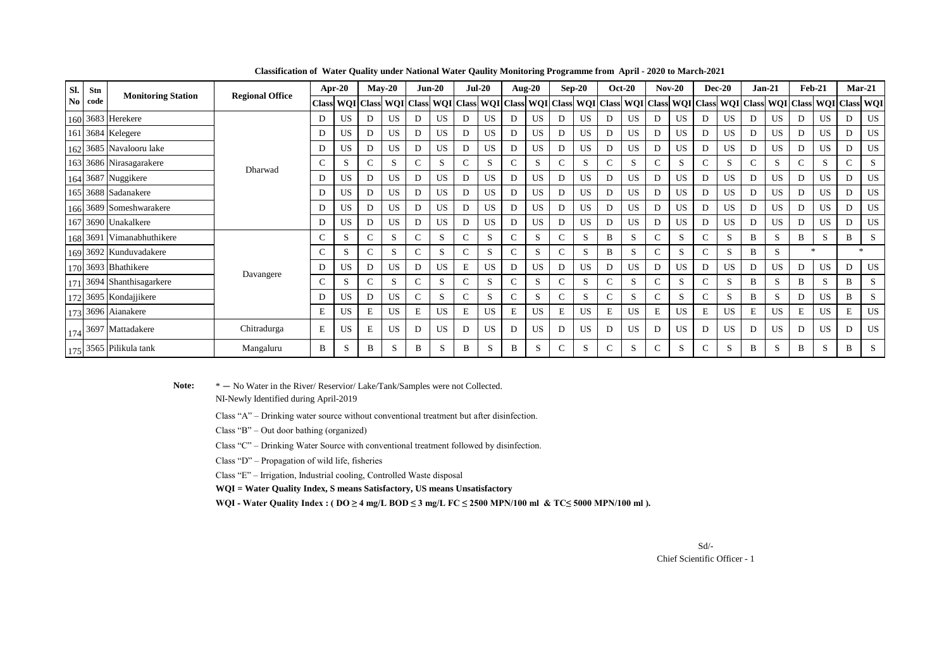| Sl.            | Stn  | <b>Monitoring Station</b>         | <b>Regional Office</b> | Apr-20       |                            | $Mav-20$ |              | $Jun-20$     |           | $Jul-20$ |                        | Aug- $20$    |           | $Sep-20$     |              | $Oct-20$ |                                   | $Nov-20$ |           |                            | <b>Dec-20</b> | $Jan-21$ |              | $Feb-21$      |           | $Mar-21$         |                  |
|----------------|------|-----------------------------------|------------------------|--------------|----------------------------|----------|--------------|--------------|-----------|----------|------------------------|--------------|-----------|--------------|--------------|----------|-----------------------------------|----------|-----------|----------------------------|---------------|----------|--------------|---------------|-----------|------------------|------------------|
| N <sub>0</sub> | code |                                   |                        |              | <b>Class WOI Class WOI</b> |          | <b>Class</b> | <b>WQI</b>   |           |          | <b>Class WQI</b> Class |              |           |              |              |          | WQI Class WQI Class WQI Class WQI |          |           | <b>Class WOI Class WOI</b> |               |          | <b>Class</b> | <b>WQI</b>    |           | <b>Class WQI</b> |                  |
|                |      | 160 3683 Herekere                 |                        | D            | US                         | D.       | US.          | D            | US.       | D        | US.                    | D            | <b>US</b> | D            | US           | Ð        | US                                | D        | <b>US</b> | D                          | US            | D        | US.          | D             | <b>US</b> | D                | <b>US</b>        |
|                |      | 161 3684 Kelegere                 |                        | D            | US                         | D        | US.          | D            | <b>US</b> | D        | <b>US</b>              | D            | US        | D            | US           | D        | US                                | D        | <b>US</b> | D                          | <b>US</b>     | D        | <b>US</b>    | D             | <b>US</b> |                  | <b>US</b>        |
|                |      | 162 3685 Navalooru lake           |                        | D            | US                         | D        | <b>US</b>    | D            | <b>US</b> | D        | <b>US</b>              | D            | US        | D            | <b>US</b>    | D        | US                                | D        | <b>US</b> | D                          | US            | D        | US.          | D             | <b>US</b> |                  | <b>US</b>        |
|                |      | 163 3686 Nirasagarakere           | Dharwad                | $\mathsf{C}$ | S                          |          | S            | $\mathsf{C}$ | S         | C        | S                      | C            | S         | $\mathsf{C}$ | S            |          | S                                 | C        | S         | C                          | S             | C        | S            | C.            | S         |                  | S                |
|                |      | 164 3687 Nuggikere                |                        | D            |                            | D        | US.          | D            | <b>US</b> | D        | <b>US</b>              | D            | US        | D            | <b>US</b>    | D        | <b>US</b>                         | D        | <b>US</b> | D                          | US            | D        | <b>US</b>    | D             | <b>US</b> |                  | US               |
|                |      | 165 3688 Sadanakere               |                        | D            |                            | D        | <b>US</b>    | D            | <b>US</b> | D        | <b>US</b>              | D            | US        | D            | <b>US</b>    | D        | US                                | D        | <b>US</b> | D                          | US            | D        | <b>US</b>    | D             | <b>US</b> |                  | <b>US</b>        |
|                |      | 166 3689 Someshwarakere           |                        | D            | US                         | D.       | US.          | D            | <b>US</b> | D        | <b>US</b>              | D            | US        | D            | <b>US</b>    | D        | US                                | D        | <b>US</b> | D                          | US            | D        | <b>US</b>    | D             | <b>US</b> |                  | US               |
|                |      | 167 3690 Unakalkere               |                        | D            |                            | D        | <b>US</b>    | D            | <b>US</b> | D        | <b>US</b>              | D            | US        | D            | <b>US</b>    | D        | US                                | D        | <b>US</b> | D                          | US            | D        | <b>US</b>    | D             | <b>US</b> |                  | US               |
|                |      | 168 3691 Vimanabhuthikere         |                        | $\mathsf{C}$ | S                          |          | S            | $\mathsf{C}$ | S         | C        | S                      | $\mathsf{C}$ | S         | $\mathsf{C}$ | S            | B        | S                                 | C        | S         |                            | S             | B        | S.           | B             | S         | B                | S                |
|                |      | 169 3692 Kunduvadakere            |                        | C            | S                          |          | S            | $\mathsf{C}$ | S         | C        | S                      | $\mathbf{C}$ | S         | C            | S            | B        | S                                 | C        | S         |                            | S             | B        | S.           | $\frac{1}{2}$ |           |                  | $\frac{1}{2\pi}$ |
|                |      | 170 3693 Bhathikere               |                        | D            | US                         | D        | US.          | D            | <b>US</b> | E        | <b>US</b>              | D            | US        | D            | <b>US</b>    | D        | <b>US</b>                         | D        | <b>US</b> | D                          | US            | D        | <b>US</b>    | D             | <b>US</b> |                  | US.              |
|                |      | 171 3694 Shanthisagarkere         | Davangere              | C            | S                          |          | S            | $\mathsf{C}$ | S         | C        | S                      | C            | S         | C            | S            |          | S                                 | C        | S         |                            | S             | B        | S.           | B             | S         | B                | S                |
|                |      | 172 3695 Kondajjikere             |                        | D            |                            | D        | US.          | $\mathsf{C}$ | S         | C        | S                      | $\mathsf{C}$ | S         | $\mathsf{C}$ | S            |          | S                                 | C        | S         |                            | S             | B        | S.           | D             | <b>US</b> | B                | S                |
|                |      | 173 3696 Aianakere                |                        | E            |                            | E        | US.          | E            | <b>US</b> | E        | <b>US</b>              | E            | US        | $\mathbf E$  | <b>US</b>    | E        | US                                | E        | US        | E                          | US            | E        | <b>US</b>    | E             | <b>US</b> | E                | US               |
|                |      | $\int$ 174 3697 Mattadakere       | Chitradurga            | $\mathbf E$  | US                         | E        | US.          | D            | <b>US</b> | D        | <b>US</b>              | D            | US        | D            | US           | D        | <b>US</b>                         | D        | <b>US</b> | D                          | <b>US</b>     | D        | US.          | D             | <b>US</b> | D                | <b>US</b>        |
|                |      | $\mid$ 175   3565   Pilikula tank | Mangaluru              | B            | S                          | B        | S            | B            | S         | B        |                        | B            | S         | $\sim$       | <sub>S</sub> |          | S                                 | C        | S         |                            | S             | B        | S            | B             | S         | B                | S                |

**Classification of Water Quality under National Water Qaulity Monitoring Programme from April - 2020 to March-2021**

 **Note:** \* — No Water in the River/ Reservior/ Lake/Tank/Samples were not Collected.

NI-Newly Identified during April-2019

Class "A" – Drinking water source without conventional treatment but after disinfection.

Class "B" – Out door bathing (organized)

Class "C" – Drinking Water Source with conventional treatment followed by disinfection.

Class "D" – Propagation of wild life, fisheries

Class "E" – Irrigation, Industrial cooling, Controlled Waste disposal

**WQI = Water Quality Index, S means Satisfactory, US means Unsatisfactory**

WQI - Water Quality Index : ( $DO \ge 4$  mg/L BOD  $\le 3$  mg/L  $FC \le 2500$  MPN/100 ml & TC $\le 5000$  MPN/100 ml ).

Sd/-

Chief Scientific Officer - 1